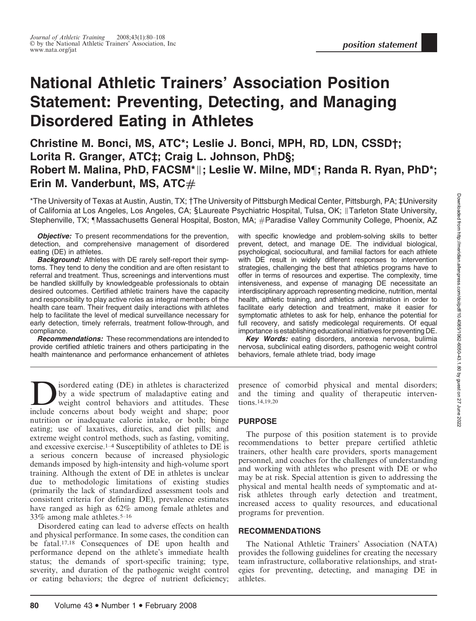# National Athletic Trainers' Association Position Statement: Preventing, Detecting, and Managing Disordered Eating in Athletes

# Christine M. Bonci, MS, ATC\*; Leslie J. Bonci, MPH, RD, LDN, CSSD†; Lorita R. Granger, ATC‡; Craig L. Johnson, PhD§; Robert M. Malina, PhD, FACSM\*||; Leslie W. Milne, MD¶; Randa R. Ryan, PhD\*; Erin M. Vanderbunt, MS,  $ATC#$

\*The University of Texas at Austin, Austin, TX; †The University of Pittsburgh Medical Center, Pittsburgh, PA; ‡University of California at Los Angeles, Los Angeles, CA; §Laureate Psychiatric Hospital, Tulsa, OK; ||Tarleton State University, Stephenville, TX; "Massachusetts General Hospital, Boston, MA; #Paradise Valley Community College, Phoenix, AZ

**Objective:** To present recommendations for the prevention, detection, and comprehensive management of disordered eating (DE) in athletes.

**Background:** Athletes with DE rarely self-report their symptoms. They tend to deny the condition and are often resistant to referral and treatment. Thus, screenings and interventions must be handled skillfully by knowledgeable professionals to obtain desired outcomes. Certified athletic trainers have the capacity and responsibility to play active roles as integral members of the health care team. Their frequent daily interactions with athletes help to facilitate the level of medical surveillance necessary for early detection, timely referrals, treatment follow-through, and compliance.

Recommendations: These recommendations are intended to provide certified athletic trainers and others participating in the health maintenance and performance enhancement of athletes with specific knowledge and problem-solving skills to better prevent, detect, and manage DE. The individual biological, psychological, sociocultural, and familial factors for each athlete with DE result in widely different responses to intervention strategies, challenging the best that athletics programs have to offer in terms of resources and expertise. The complexity, time intensiveness, and expense of managing DE necessitate an interdisciplinary approach representing medicine, nutrition, mental health, athletic training, and athletics administration in order to facilitate early detection and treatment, make it easier for symptomatic athletes to ask for help, enhance the potential for full recovery, and satisfy medicolegal requirements. Of equal importance is establishing educational initiatives for preventing DE.

Key Words: eating disorders, anorexia nervosa, bulimia nervosa, subclinical eating disorders, pathogenic weight control behaviors, female athlete triad, body image

**1988** is characterized<br>by a wide spectrum of maladaptive eating and<br>weight control behaviors and attitudes. These<br>include concerns about body weight and shape; poor by a wide spectrum of maladaptive eating and include concerns about body weight and shape; poor nutrition or inadequate caloric intake, or both; binge eating; use of laxatives, diuretics, and diet pills; and extreme weight control methods, such as fasting, vomiting, and excessive exercise.1–4 Susceptibility of athletes to DE is a serious concern because of increased physiologic demands imposed by high-intensity and high-volume sport training. Although the extent of DE in athletes is unclear due to methodologic limitations of existing studies (primarily the lack of standardized assessment tools and consistent criteria for defining DE), prevalence estimates have ranged as high as 62% among female athletes and 33% among male athletes.5–16

Disordered eating can lead to adverse effects on health and physical performance. In some cases, the condition can be fatal.17,18 Consequences of DE upon health and performance depend on the athlete's immediate health status; the demands of sport-specific training; type, severity, and duration of the pathogenic weight control or eating behaviors; the degree of nutrient deficiency; presence of comorbid physical and mental disorders; and the timing and quality of therapeutic interventions.14,19,20

# PURPOSE

The purpose of this position statement is to provide recommendations to better prepare certified athletic trainers, other health care providers, sports management personnel, and coaches for the challenges of understanding and working with athletes who present with DE or who may be at risk. Special attention is given to addressing the physical and mental health needs of symptomatic and atrisk athletes through early detection and treatment, increased access to quality resources, and educational programs for prevention.

# RECOMMENDATIONS

The National Athletic Trainers' Association (NATA) provides the following guidelines for creating the necessary team infrastructure, collaborative relationships, and strategies for preventing, detecting, and managing DE in athletes.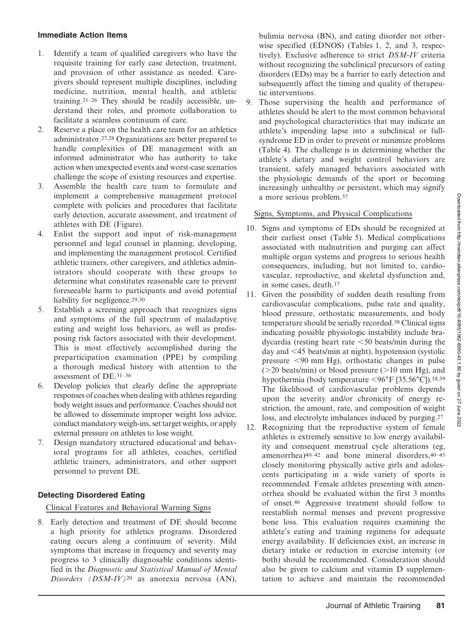# Immediate Action Items

- 1. Identify a team of qualified caregivers who have the requisite training for early case detection, treatment, and provision of other assistance as needed. Caregivers should represent multiple disciplines, including medicine, nutrition, mental health, and athletic training.21–26 They should be readily accessible, understand their roles, and promote collaboration to facilitate a seamless continuum of care.
- 2. Reserve a place on the health care team for an athletics administrator.27,28 Organizations are better prepared to handle complexities of DE management with an informed administrator who has authority to take action when unexpected events and worst-case scenarios challenge the scope of existing resources and expertise.
- 3. Assemble the health care team to formulate and implement a comprehensive management protocol complete with policies and procedures that facilitate early detection, accurate assessment, and treatment of athletes with DE (Figure).
- 4. Enlist the support and input of risk-management personnel and legal counsel in planning, developing, and implementing the management protocol. Certified athletic trainers, other caregivers, and athletics administrators should cooperate with these groups to determine what constitutes reasonable care to prevent foreseeable harm to participants and avoid potential liability for negligence.<sup>29,30</sup>
- 5. Establish a screening approach that recognizes signs and symptoms of the full spectrum of maladaptive eating and weight loss behaviors, as well as predisposing risk factors associated with their development. This is most effectively accomplished during the preparticipation examination (PPE) by compiling a thorough medical history with attention to the assessment of DE.31–36
- 6. Develop policies that clearly define the appropriate responses of coaches when dealing with athletes regarding body weight issues and performance. Coaches should not be allowed to disseminate improper weight loss advice, conduct mandatory weigh-ins, set target weights, or apply external pressure on athletes to lose weight.
- 7. Design mandatory structured educational and behavioral programs for all athletes, coaches, certified athletic trainers, administrators, and other support personnel to prevent DE.

# Detecting Disordered Eating

Clinical Features and Behavioral Warning Signs

8. Early detection and treatment of DE should become a high priority for athletics programs. Disordered eating occurs along a continuum of severity. Mild symptoms that increase in frequency and severity may progress to 3 clinically diagnosable conditions identified in the Diagnostic and Statistical Manual of Mental Disorders  $(DSM-IV)^{20}$  as anorexia nervosa (AN), bulimia nervosa (BN), and eating disorder not otherwise specified (EDNOS) (Tables 1, 2, and 3, respectively). Exclusive adherence to strict DSM-IV criteria without recognizing the subclinical precursors of eating disorders (EDs) may be a barrier to early detection and subsequently affect the timing and quality of therapeutic interventions.

9. Those supervising the health and performance of athletes should be alert to the most common behavioral and psychological characteristics that may indicate an athlete's impending lapse into a subclinical or fullsyndrome ED in order to prevent or minimize problems (Table 4). The challenge is in determining whether the athlete's dietary and weight control behaviors are transient, safely managed behaviors associated with the physiologic demands of the sport or becoming increasingly unhealthy or persistent, which may signify a more serious problem.37

# Signs, Symptoms, and Physical Complications

- 10. Signs and symptoms of EDs should be recognized at their earliest onset (Table 5). Medical complications associated with malnutrition and purging can affect multiple organ systems and progress to serious health consequences, including, but not limited to, cardiovascular, reproductive, and skeletal dysfunction and, in some cases, death.17
- 11. Given the possibility of sudden death resulting from cardiovascular complications, pulse rate and quality, blood pressure, orthostatic measurements, and body temperature should be serially recorded.38 Clinical signs indicating possible physiologic instability include bradycardia (resting heart rate  $\leq 50$  beats/min during the day and  $\leq$ 45 beats/min at night), hypotension (systolic pressure  $\leq 90$  mm Hg), orthostatic changes in pulse  $(>20$  beats/min) or blood pressure  $(>10$  mm Hg), and hypothermia (body temperature  $\leq$ 96°F [35.56°C]).<sup>18,39</sup> The likelihood of cardiovascular problems depends upon the severity and/or chronicity of energy restriction, the amount, rate, and composition of weight loss, and electrolyte imbalances induced by purging.27
- 12. Recognizing that the reproductive system of female athletes is extremely sensitive to low energy availability and consequent menstrual cycle alterations (eg, amenorrhea)40–42 and bone mineral disorders,40–45 closely monitoring physically active girls and adolescents participating in a wide variety of sports is recommended. Female athletes presenting with amenorrhea should be evaluated within the first 3 months of onset.46 Aggressive treatment should follow to reestablish normal menses and prevent progressive bone loss. This evaluation requires examining the athlete's eating and training regimens for adequate energy availability. If deficiencies exist, an increase in dietary intake or reduction in exercise intensity (or both) should be recommended. Consideration should also be given to calcium and vitamin D supplementation to achieve and maintain the recommended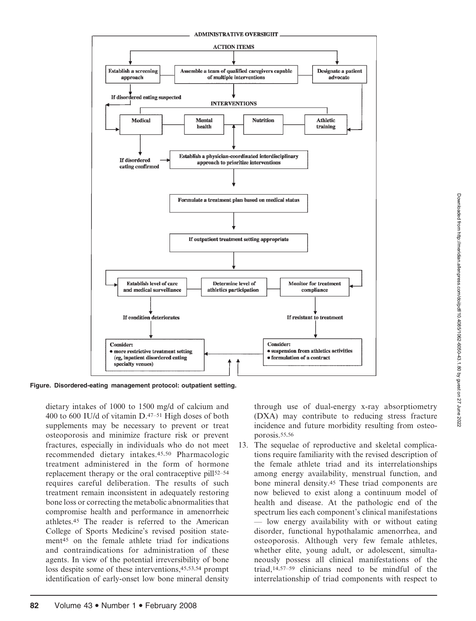

Figure. Disordered-eating management protocol: outpatient setting.

dietary intakes of 1000 to 1500 mg/d of calcium and 400 to 600 IU/d of vitamin D.47–51 High doses of both supplements may be necessary to prevent or treat osteoporosis and minimize fracture risk or prevent fractures, especially in individuals who do not meet recommended dietary intakes.45,50 Pharmacologic treatment administered in the form of hormone replacement therapy or the oral contraceptive pill52–54 requires careful deliberation. The results of such treatment remain inconsistent in adequately restoring bone loss or correcting the metabolic abnormalities that compromise health and performance in amenorrheic athletes.45 The reader is referred to the American College of Sports Medicine's revised position statement<sup>45</sup> on the female athlete triad for indications and contraindications for administration of these agents. In view of the potential irreversibility of bone loss despite some of these interventions,45,53,54 prompt identification of early-onset low bone mineral density through use of dual-energy x-ray absorptiometry (DXA) may contribute to reducing stress fracture incidence and future morbidity resulting from osteoporosis.55,56

13. The sequelae of reproductive and skeletal complications require familiarity with the revised description of the female athlete triad and its interrelationships among energy availability, menstrual function, and bone mineral density.45 These triad components are now believed to exist along a continuum model of health and disease. At the pathologic end of the spectrum lies each component's clinical manifestations — low energy availability with or without eating disorder, functional hypothalamic amenorrhea, and osteoporosis. Although very few female athletes, whether elite, young adult, or adolescent, simultaneously possess all clinical manifestations of the triad,14,57–59 clinicians need to be mindful of the interrelationship of triad components with respect to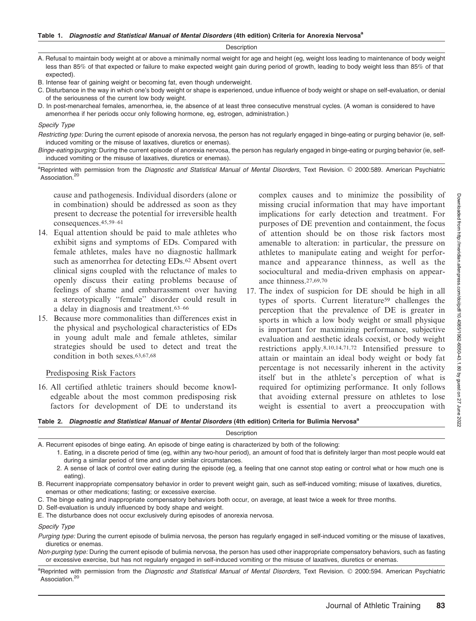Description

- A. Refusal to maintain body weight at or above a minimally normal weight for age and height (eg, weight loss leading to maintenance of body weight less than 85% of that expected or failure to make expected weight gain during period of growth, leading to body weight less than 85% of that expected).
- B. Intense fear of gaining weight or becoming fat, even though underweight.
- C. Disturbance in the way in which one's body weight or shape is experienced, undue influence of body weight or shape on self-evaluation, or denial of the seriousness of the current low body weight.
- D. In post-menarcheal females, amenorrhea, ie, the absence of at least three consecutive menstrual cycles. (A woman is considered to have amenorrhea if her periods occur only following hormone, eg, estrogen, administration.)

#### Specify Type

Restricting type: During the current episode of anorexia nervosa, the person has not regularly engaged in binge-eating or purging behavior (ie, selfinduced vomiting or the misuse of laxatives, diuretics or enemas).

Binge-eating/purging: During the current episode of anorexia nervosa, the person has regularly engaged in binge-eating or purging behavior (ie, selfinduced vomiting or the misuse of laxatives, diuretics or enemas).

a<br>Reprinted with permission from the Diagnostic and Statistical Manual of Mental Disorders, Text Revision. © 2000:589. American Psychiatric Association.<sup>20</sup>

cause and pathogenesis. Individual disorders (alone or in combination) should be addressed as soon as they present to decrease the potential for irreversible health consequences.45,59–61

- 14. Equal attention should be paid to male athletes who exhibit signs and symptoms of EDs. Compared with female athletes, males have no diagnostic hallmark such as amenorrhea for detecting EDs.<sup>62</sup> Absent overt clinical signs coupled with the reluctance of males to openly discuss their eating problems because of feelings of shame and embarrassment over having a stereotypically ''female'' disorder could result in a delay in diagnosis and treatment.63–66
- 15. Because more commonalities than differences exist in the physical and psychological characteristics of EDs in young adult male and female athletes, similar strategies should be used to detect and treat the condition in both sexes.63,67,68

# Predisposing Risk Factors

16. All certified athletic trainers should become knowledgeable about the most common predisposing risk factors for development of DE to understand its complex causes and to minimize the possibility of missing crucial information that may have important implications for early detection and treatment. For purposes of DE prevention and containment, the focus of attention should be on those risk factors most amenable to alteration: in particular, the pressure on athletes to manipulate eating and weight for performance and appearance thinness, as well as the sociocultural and media-driven emphasis on appearance thinness.27,69,70

17. The index of suspicion for DE should be high in all types of sports. Current literature59 challenges the perception that the prevalence of DE is greater in sports in which a low body weight or small physique is important for maximizing performance, subjective evaluation and aesthetic ideals coexist, or body weight restrictions apply.8,10,14,71,72 Intensified pressure to attain or maintain an ideal body weight or body fat percentage is not necessarily inherent in the activity itself but in the athlete's perception of what is required for optimizing performance. It only follows that avoiding external pressure on athletes to lose weight is essential to avert a preoccupation with

June 2022

Table 2. Diagnostic and Statistical Manual of Mental Disorders (4th edition) Criteria for Bulimia Nervosa<sup>a</sup>

| Description |
|-------------|
|-------------|

A. Recurrent episodes of binge eating. An episode of binge eating is characterized by both of the following:

C. The binge eating and inappropriate compensatory behaviors both occur, on average, at least twice a week for three months.

D. Self-evaluation is unduly influenced by body shape and weight.

E. The disturbance does not occur exclusively during episodes of anorexia nervosa.

Specify Type

<sup>1.</sup> Eating, in a discrete period of time (eg, within any two-hour period), an amount of food that is definitely larger than most people would eat during a similar period of time and under similar circumstances.

<sup>2.</sup> A sense of lack of control over eating during the episode (eg, a feeling that one cannot stop eating or control what or how much one is eating).

B. Recurrent inappropriate compensatory behavior in order to prevent weight gain, such as self-induced vomiting; misuse of laxatives, diuretics, enemas or other medications; fasting; or excessive exercise.

Purging type: During the current episode of bulimia nervosa, the person has regularly engaged in self-induced vomiting or the misuse of laxatives, diuretics or enemas.

Non-purging type: During the current episode of bulimia nervosa, the person has used other inappropriate compensatory behaviors, such as fasting or excessive exercise, but has not regularly engaged in self-induced vomiting or the misuse of laxatives, diuretics or enemas.

a<br>Reprinted with permission from the Diagnostic and Statistical Manual of Mental Disorders, Text Revision. © 2000:594. American Psychiatric Association.<sup>20</sup>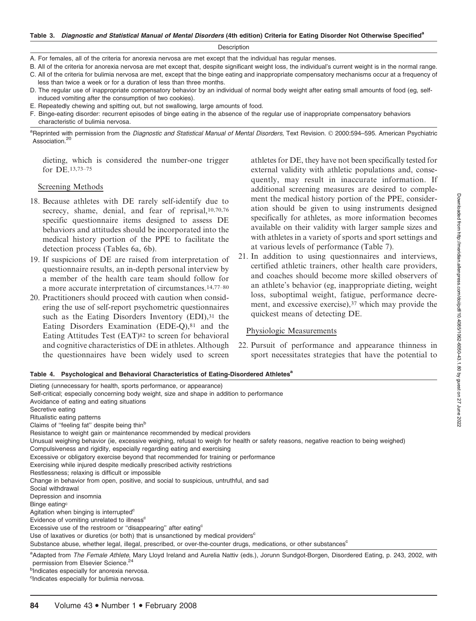**Description** 

- A. For females, all of the criteria for anorexia nervosa are met except that the individual has regular menses.
- B. All of the criteria for anorexia nervosa are met except that, despite significant weight loss, the individual's current weight is in the normal range. C. All of the criteria for bulimia nervosa are met, except that the binge eating and inappropriate compensatory mechanisms occur at a frequency of less than twice a week or for a duration of less than three months.
- D. The regular use of inappropriate compensatory behavior by an individual of normal body weight after eating small amounts of food (eg, selfinduced vomiting after the consumption of two cookies).
- E. Repeatedly chewing and spitting out, but not swallowing, large amounts of food.
- F. Binge-eating disorder: recurrent episodes of binge eating in the absence of the regular use of inappropriate compensatory behaviors characteristic of bulimia nervosa.

aReprinted with permission from the Diagnostic and Statistical Manual of Mental Disorders, Text Revision. © 2000:594-595. American Psychiatric Association.<sup>20</sup>

dieting, which is considered the number-one trigger for DE.13,73–75

#### Screening Methods

- 18. Because athletes with DE rarely self-identify due to secrecy, shame, denial, and fear of reprisal,  $10,70,76$ specific questionnaire items designed to assess DE behaviors and attitudes should be incorporated into the medical history portion of the PPE to facilitate the detection process (Tables 6a, 6b).
- 19. If suspicions of DE are raised from interpretation of questionnaire results, an in-depth personal interview by a member of the health care team should follow for a more accurate interpretation of circumstances.14,77–80
- 20. Practitioners should proceed with caution when considering the use of self-report psychometric questionnaires such as the Eating Disorders Inventory (EDI),<sup>31</sup> the Eating Disorders Examination (EDE-Q),<sup>81</sup> and the Eating Attitudes Test (EAT)82 to screen for behavioral and cognitive characteristics of DE in athletes. Although the questionnaires have been widely used to screen

athletes for DE, they have not been specifically tested for external validity with athletic populations and, consequently, may result in inaccurate information. If additional screening measures are desired to complement the medical history portion of the PPE, consideration should be given to using instruments designed specifically for athletes, as more information becomes available on their validity with larger sample sizes and with athletes in a variety of sports and sport settings and at various levels of performance (Table 7).

21. In addition to using questionnaires and interviews, certified athletic trainers, other health care providers, and coaches should become more skilled observers of an athlete's behavior (eg, inappropriate dieting, weight loss, suboptimal weight, fatigue, performance decrement, and excessive exercise),<sup>37</sup> which may provide the quickest means of detecting DE.

#### Physiologic Measurements

22. Pursuit of performance and appearance thinness in sport necessitates strategies that have the potential to

#### Table 4. Psychological and Behavioral Characteristics of Eating-Disordered Athletes<sup>a</sup>

| Dieting (unnecessary for health, sports performance, or appearance)                                                                                                                                         |
|-------------------------------------------------------------------------------------------------------------------------------------------------------------------------------------------------------------|
| Self-critical; especially concerning body weight, size and shape in addition to performance                                                                                                                 |
| Avoidance of eating and eating situations                                                                                                                                                                   |
| Secretive eating                                                                                                                                                                                            |
| Ritualistic eating patterns                                                                                                                                                                                 |
| Claims of "feeling fat" despite being thin <sup>b</sup>                                                                                                                                                     |
| Resistance to weight gain or maintenance recommended by medical providers                                                                                                                                   |
| Unusual weighing behavior (ie, excessive weighing, refusal to weigh for health or safety reasons, negative reaction to being weighed)                                                                       |
| Compulsiveness and rigidity, especially regarding eating and exercising                                                                                                                                     |
| Excessive or obligatory exercise beyond that recommended for training or performance                                                                                                                        |
| Exercising while injured despite medically prescribed activity restrictions                                                                                                                                 |
| Restlessness; relaxing is difficult or impossible                                                                                                                                                           |
| Change in behavior from open, positive, and social to suspicious, untruthful, and sad                                                                                                                       |
| Social withdrawal                                                                                                                                                                                           |
| Depression and insomnia                                                                                                                                                                                     |
| Binge eating <sup>c</sup>                                                                                                                                                                                   |
| Agitation when binging is interrupted <sup>c</sup>                                                                                                                                                          |
| Evidence of vomiting unrelated to illness <sup>c</sup>                                                                                                                                                      |
| Excessive use of the restroom or "disappearing" after eating b                                                                                                                                              |
| Use of laxatives or diuretics (or both) that is unsanctioned by medical providers <sup>c</sup>                                                                                                              |
| Substance abuse, whether legal, illegal, prescribed, or over-the-counter drugs, medications, or other substances <sup>c</sup>                                                                               |
| <sup>a</sup> Adapted from The Female Athlete, Mary Lloyd Ireland and Aurelia Nattiv (eds.), Jorunn Sundgot-Borgen, Disordered Eating, p. 243, 2002, with<br>permission from Elsevier Science. <sup>24</sup> |

**b**Indicates especially for anorexia nervosa.

cIndicates especially for bulimia nervosa.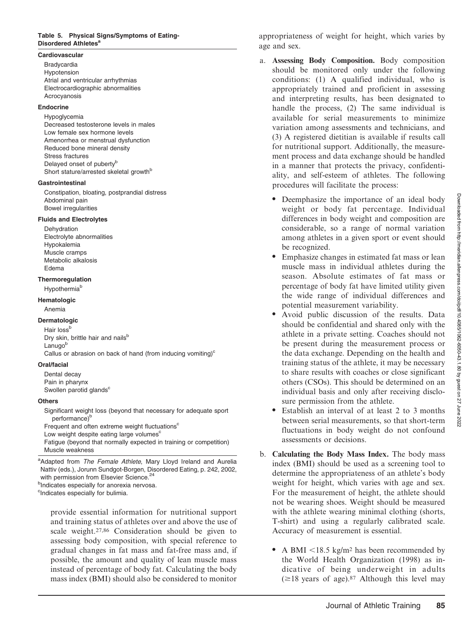#### Table 5. Physical Signs/Symptoms of Eating-Disordered Athletes<sup>a</sup>

#### Cardiovascular

Bradycardia Hypotension Atrial and ventricular arrhythmias Electrocardiographic abnormalities Acrocyanosis

#### Endocrine

Hypoglycemia Decreased testosterone levels in males Low female sex hormone levels Amenorrhea or menstrual dysfunction Reduced bone mineral density Stress fractures Delayed onset of puberty<sup>b</sup> Short stature/arrested skeletal growth<sup>b</sup>

#### **Gastrointestinal**

Constipation, bloating, postprandial distress Abdominal pain Bowel irregularities

#### Fluids and Electrolytes

Dehydration Electrolyte abnormalities Hypokalemia Muscle cramps Metabolic alkalosis Edema

#### **Thermoregulation**

Hypothermia<sup>b</sup>

# Hematologic

#### Anemia

#### Dermatologic

Hair loss<sup>b</sup> Dry skin, brittle hair and nails<sup>b</sup> Lanugob Callus or abrasion on back of hand (from inducing vomiting) $<sup>c</sup>$ </sup>

# Oral/facial

Dental decay Pain in pharynx Swollen parotid glands<sup>c</sup>

#### **Others**

Significant weight loss (beyond that necessary for adequate sport performance)<sup>b</sup>

- Frequent and often extreme weight fluctuations<sup>c</sup>
- Low weight despite eating large volumes<sup>c</sup>

Fatigue (beyond that normally expected in training or competition) Muscle weakness

<sup>a</sup>Adapted from *The Female Athlete*, Mary Lloyd Ireland and Aurelia Nattiv (eds.), Jorunn Sundgot-Borgen, Disordered Eating, p. 242, 2002, with permission from Elsevier Science.<sup>24</sup>

<sup>b</sup>Indicates especially for anorexia nervosa.

<sup>c</sup>Indicates especially for bulimia.

provide essential information for nutritional support and training status of athletes over and above the use of scale weight.27,86 Consideration should be given to assessing body composition, with special reference to gradual changes in fat mass and fat-free mass and, if possible, the amount and quality of lean muscle mass instead of percentage of body fat. Calculating the body mass index (BMI) should also be considered to monitor appropriateness of weight for height, which varies by age and sex.

- a. Assessing Body Composition. Body composition should be monitored only under the following conditions: (1) A qualified individual, who is appropriately trained and proficient in assessing and interpreting results, has been designated to handle the process, (2) The same individual is available for serial measurements to minimize variation among assessments and technicians, and (3) A registered dietitian is available if results call for nutritional support. Additionally, the measurement process and data exchange should be handled in a manner that protects the privacy, confidentiality, and self-esteem of athletes. The following procedures will facilitate the process:
	- Deemphasize the importance of an ideal body weight or body fat percentage. Individual differences in body weight and composition are considerable, so a range of normal variation among athletes in a given sport or event should be recognized.
	- Emphasize changes in estimated fat mass or lean muscle mass in individual athletes during the season. Absolute estimates of fat mass or percentage of body fat have limited utility given the wide range of individual differences and potential measurement variability.
	- Avoid public discussion of the results. Data should be confidential and shared only with the athlete in a private setting. Coaches should not be present during the measurement process or the data exchange. Depending on the health and training status of the athlete, it may be necessary to share results with coaches or close significant others (CSOs). This should be determined on an individual basis and only after receiving disclosure permission from the athlete.
	- Establish an interval of at least 2 to 3 months between serial measurements, so that short-term fluctuations in body weight do not confound assessments or decisions.
- b. Calculating the Body Mass Index. The body mass index (BMI) should be used as a screening tool to determine the appropriateness of an athlete's body weight for height, which varies with age and sex. For the measurement of height, the athlete should not be wearing shoes. Weight should be measured with the athlete wearing minimal clothing (shorts, T-shirt) and using a regularly calibrated scale. Accuracy of measurement is essential.
	- A BMI  $\leq 18.5$  kg/m<sup>2</sup> has been recommended by the World Health Organization (1998) as indicative of being underweight in adults  $(\geq 18$  years of age).<sup>87</sup> Although this level may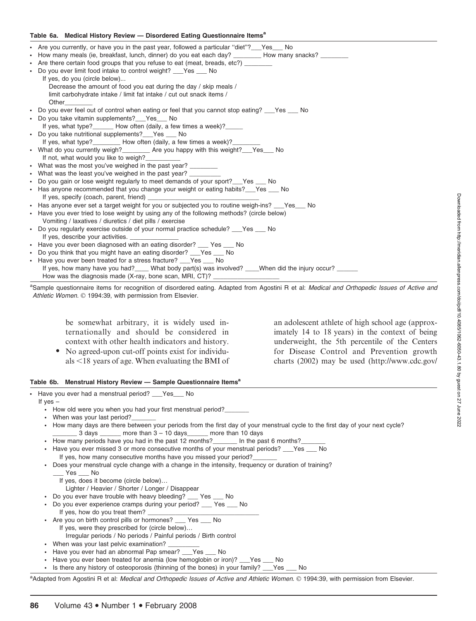# Downloaded from http://meridian.allenpress.com/doi/pdf/10.4085/1062-6050-43.1.80 by guest on 27 June 2022 Downloaded from http://meridian.allenpress.com/doi/pdf/10.4085/1062-6050-43.1.80 by guest on 27 June 2022

#### Table 6a. Medical History Review - Disordered Eating Questionnaire Items<sup>a</sup>

Are you currently, or have you in the past year, followed a particular "diet"?\_\_\_Yes\_\_\_ No • How many meals (ie, breakfast, lunch, dinner) do you eat each day? \_\_\_\_\_\_\_\_ How many snacks? • Are there certain food groups that you refuse to eat (meat, breads, etc?) • Do you ever limit food intake to control weight? \_\_\_Yes \_\_\_ No If yes, do you (circle below)... Decrease the amount of food you eat during the day / skip meals / limit carbohydrate intake / limit fat intake / cut out snack items / Other\_\_\_\_\_\_\_\_ • Do you ever feel out of control when eating or feel that you cannot stop eating? Yes No Do you take vitamin supplements?\_\_Yes\_\_ No If yes, what type?\_\_\_\_\_\_ How often (daily, a few times a week)? Do you take nutritional supplements?\_\_Yes \_\_ No If yes, what type?\_\_\_\_\_\_\_\_\_ How often (daily, a few times a week)? What do you currently weigh?\_\_\_\_\_\_\_\_\_ Are you happy with this weight?\_\_\_Yes\_\_\_ No If not, what would you like to weigh? What was the most you've weighed in the past year? What was the least you've weighed in the past year? Do you gain or lose weight regularly to meet demands of your sport?\_\_\_Yes \_\_\_ No Has anyone recommended that you change your weight or eating habits?\_\_\_Yes \_\_\_ No If yes, specify (coach, parent, friend) • Has anyone ever set a target weight for you or subjected you to routine weigh-ins? \_\_\_Yes\_\_\_ No Have you ever tried to lose weight by using any of the following methods? (circle below) Vomiting / laxatives / diuretics / diet pills / exercise • Do you regularly exercise outside of your normal practice schedule? \_\_\_ Yes \_\_\_ No If yes, describe your activities. Have you ever been diagnosed with an eating disorder? \_\_\_ Yes \_\_\_ No Do you think that you might have an eating disorder? Yes No • Have you ever been treated for a stress fracture? \_\_\_Yes \_\_\_ No If yes, how many have you had?\_\_\_\_ What body part(s) was involved? \_\_\_\_When did the injury occur? \_ How was the diagnosis made (X-ray, bone scan, MRI, CT)?

aSample questionnaire items for recognition of disordered eating. Adapted from Agostini R et al: Medical and Orthopedic Issues of Active and Athletic Women. C 1994:39, with permission from Elsevier.

be somewhat arbitrary, it is widely used internationally and should be considered in context with other health indicators and history.

• No agreed-upon cut-off points exist for individuals  $<$ 18 years of age. When evaluating the BMI of an adolescent athlete of high school age (approximately 14 to 18 years) in the context of being underweight, the 5th percentile of the Centers for Disease Control and Prevention growth charts (2002) may be used (http://www.cdc.gov/

#### Table 6b. Menstrual History Review - Sample Questionnaire Items<sup>a</sup>

- Have you ever had a menstrual period? \_\_\_Yes\_\_\_ No
- If yes
	- How old were you when you had your first menstrual period?
	- When was your last period?
	- How many days are there between your periods from the first day of your menstrual cycle to the first day of your next cycle?  $3$  days  $\frac{1}{2}$  more than  $3 - 10$  days more than 10 days
	- How many periods have you had in the past 12 months? In the past 6 months?
	- Have you ever missed 3 or more consecutive months of your menstrual periods? \_\_\_Yes \_\_\_ No If yes, how many consecutive months have you missed your period?
	- Does your menstrual cycle change with a change in the intensity, frequency or duration of training? \_\_\_ Yes \_\_\_ No
		- If yes, does it become (circle below)…
		- Lighter / Heavier / Shorter / Longer / Disappear
	- Do you ever have trouble with heavy bleeding? \_\_\_ Yes \_\_\_ No
	- Do you ever experience cramps during your period? \_\_\_ Yes \_\_\_ No If yes, how do you treat them?
	- Are you on birth control pills or hormones? \_\_\_ Yes \_\_\_ No If yes, were they prescribed for (circle below)…
		- Irregular periods / No periods / Painful periods / Birth control
	- When was your last pelvic examination?
	- Have you ever had an abnormal Pap smear? \_\_\_Yes \_\_\_ No
	- Have you ever been treated for anemia (low hemoglobin or iron)? \_\_\_Yes \_\_\_ No
	- Is there any history of osteoporosis (thinning of the bones) in your family? \_\_\_Yes \_\_\_ No

aAdapted from Agostini R et al: Medical and Orthopedic Issues of Active and Athletic Women. © 1994:39, with permission from Elsevier.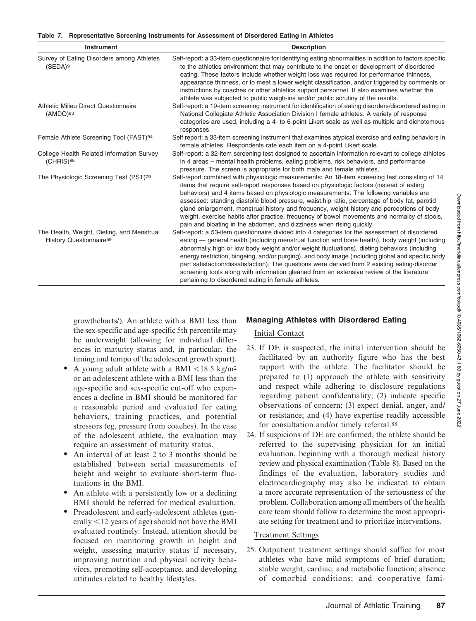#### Table 7. Representative Screening Instruments for Assessment of Disordered Eating in Athletes

| <b>Instrument</b>                                                                 | <b>Description</b>                                                                                                                                                                                                                                                                                                                                                                                                                                                                                                                                                                                                                                           |
|-----------------------------------------------------------------------------------|--------------------------------------------------------------------------------------------------------------------------------------------------------------------------------------------------------------------------------------------------------------------------------------------------------------------------------------------------------------------------------------------------------------------------------------------------------------------------------------------------------------------------------------------------------------------------------------------------------------------------------------------------------------|
| Survey of Eating Disorders among Athletes<br>(SEDA)9                              | Self-report: a 33-item questionnaire for identifying eating abnormalities in addition to factors specific<br>to the athletics environment that may contribute to the onset or development of disordered<br>eating. These factors include whether weight loss was required for performance thinness,<br>appearance thinness, or to meet a lower weight classification, and/or triggered by comments or<br>instructions by coaches or other athletics support personnel. It also examines whether the<br>athlete was subjected to public weigh-ins and/or public scrutiny of the results.                                                                      |
| Athletic Milieu Direct Questionnaire<br>$(AMDQ)^{83}$                             | Self-report: a 19-item screening instrument for identification of eating disorders/disordered eating in<br>National Collegiate Athletic Association Division I female athletes. A variety of response<br>categories are used, including a 4- to 6-point Likert scale as well as multiple and dichotomous<br>responses.                                                                                                                                                                                                                                                                                                                                       |
| Female Athlete Screening Tool (FAST)84                                            | Self report: a 33-item screening instrument that examines atypical exercise and eating behaviors in<br>female athletes. Respondents rate each item on a 4-point Likert scale.                                                                                                                                                                                                                                                                                                                                                                                                                                                                                |
| College Health Related Information Survey<br>(CHRIS)85                            | Self-report: a 32-item screening test designed to ascertain information relevant to college athletes<br>in 4 areas – mental health problems, eating problems, risk behaviors, and performance<br>pressure. The screen is appropriate for both male and female athletes.                                                                                                                                                                                                                                                                                                                                                                                      |
| The Physiologic Screening Test (PST)79                                            | Self-report combined with physiologic measurements: An 18-item screening test consisting of 14<br>items that require self-report responses based on physiologic factors (instead of eating<br>behaviors) and 4 items based on physiologic measurements. The following variables are<br>assessed: standing diastolic blood pressure, waist:hip ratio, percentage of body fat, parotid<br>gland enlargement, menstrual history and frequency, weight history and perceptions of body<br>weight, exercise habits after practice, frequency of bowel movements and normalcy of stools,<br>pain and bloating in the abdomen, and dizziness when rising quickly.   |
| The Health, Weight, Dieting, and Menstrual<br>History Questionnaire <sup>59</sup> | Self-report: a 53-item questionnaire divided into 4 categories for the assessment of disordered<br>eating — general health (including menstrual function and bone health), body weight (including<br>abnormally high or low body weight and/or weight fluctuations), dieting behaviors (including<br>energy restriction, bingeing, and/or purging), and body image (including global and specific body<br>part satisfaction/dissatisfaction). The questions were derived from 2 existing eating-disorder<br>screening tools along with information gleaned from an extensive review of the literature<br>pertaining to disordered eating in female athletes. |

growthcharts/). An athlete with a BMI less than the sex-specific and age-specific 5th percentile may be underweight (allowing for individual differences in maturity status and, in particular, the timing and tempo of the adolescent growth spurt).

- A young adult athlete with a BMI  $\leq 18.5$  kg/m<sup>2</sup> or an adolescent athlete with a BMI less than the age-specific and sex-specific cut-off who experiences a decline in BMI should be monitored for a reasonable period and evaluated for eating behaviors, training practices, and potential stressors (eg, pressure from coaches). In the case of the adolescent athlete, the evaluation may require an assessment of maturity status.
- An interval of at least 2 to 3 months should be established between serial measurements of height and weight to evaluate short-term fluctuations in the BMI.
- An athlete with a persistently low or a declining BMI should be referred for medical evaluation.
- Preadolescent and early-adolescent athletes (generally  $\leq$  12 years of age) should not have the BMI evaluated routinely. Instead, attention should be focused on monitoring growth in height and weight, assessing maturity status if necessary, improving nutrition and physical activity behaviors, promoting self-acceptance, and developing attitudes related to healthy lifestyles.

# Managing Athletes with Disordered Eating

# Initial Contact

- 23. If DE is suspected, the initial intervention should be facilitated by an authority figure who has the best rapport with the athlete. The facilitator should be prepared to (1) approach the athlete with sensitivity and respect while adhering to disclosure regulations regarding patient confidentiality; (2) indicate specific observations of concern; (3) expect denial, anger, and/ or resistance; and (4) have expertise readily accessible for consultation and/or timely referral.88
- 24. If suspicions of DE are confirmed, the athlete should be referred to the supervising physician for an initial evaluation, beginning with a thorough medical history review and physical examination (Table 8). Based on the findings of the evaluation, laboratory studies and electrocardiography may also be indicated to obtain a more accurate representation of the seriousness of the problem. Collaboration among all members of the health care team should follow to determine the most appropriate setting for treatment and to prioritize interventions.

# Treatment Settings

25. Outpatient treatment settings should suffice for most athletes who have mild symptoms of brief duration; stable weight, cardiac, and metabolic function; absence of comorbid conditions; and cooperative fami-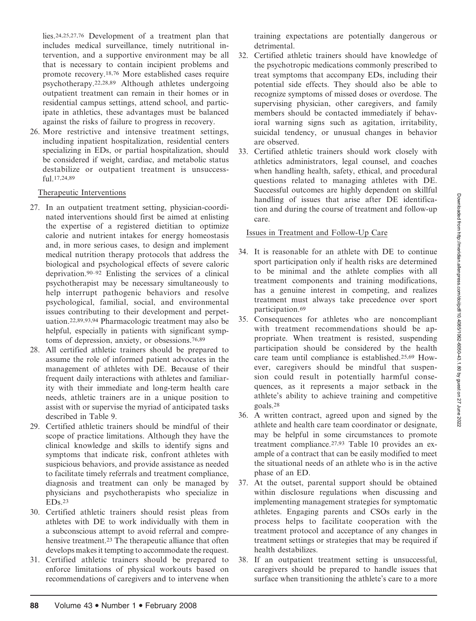lies.24,25,27,76 Development of a treatment plan that includes medical surveillance, timely nutritional intervention, and a supportive environment may be all that is necessary to contain incipient problems and promote recovery.18,76 More established cases require psychotherapy.22,28,89 Although athletes undergoing outpatient treatment can remain in their homes or in residential campus settings, attend school, and participate in athletics, these advantages must be balanced against the risks of failure to progress in recovery.

26. More restrictive and intensive treatment settings, including inpatient hospitalization, residential centers specializing in EDs, or partial hospitalization, should be considered if weight, cardiac, and metabolic status destabilize or outpatient treatment is unsuccessful.17,24,89

#### Therapeutic Interventions

- 27. In an outpatient treatment setting, physician-coordinated interventions should first be aimed at enlisting the expertise of a registered dietitian to optimize calorie and nutrient intakes for energy homeostasis and, in more serious cases, to design and implement medical nutrition therapy protocols that address the biological and psychological effects of severe caloric deprivation.90–92 Enlisting the services of a clinical psychotherapist may be necessary simultaneously to help interrupt pathogenic behaviors and resolve psychological, familial, social, and environmental issues contributing to their development and perpetuation.22,89,93,94 Pharmacologic treatment may also be helpful, especially in patients with significant symptoms of depression, anxiety, or obsessions.76,89
- 28. All certified athletic trainers should be prepared to assume the role of informed patient advocates in the management of athletes with DE. Because of their frequent daily interactions with athletes and familiarity with their immediate and long-term health care needs, athletic trainers are in a unique position to assist with or supervise the myriad of anticipated tasks described in Table 9.
- 29. Certified athletic trainers should be mindful of their scope of practice limitations. Although they have the clinical knowledge and skills to identify signs and symptoms that indicate risk, confront athletes with suspicious behaviors, and provide assistance as needed to facilitate timely referrals and treatment compliance, diagnosis and treatment can only be managed by physicians and psychotherapists who specialize in  $EDs<sup>23</sup>$
- 30. Certified athletic trainers should resist pleas from athletes with DE to work individually with them in a subconscious attempt to avoid referral and comprehensive treatment.<sup>23</sup> The therapeutic alliance that often develops makes it tempting to accommodate the request.
- 31. Certified athletic trainers should be prepared to enforce limitations of physical workouts based on recommendations of caregivers and to intervene when

training expectations are potentially dangerous or detrimental.

- 32. Certified athletic trainers should have knowledge of the psychotropic medications commonly prescribed to treat symptoms that accompany EDs, including their potential side effects. They should also be able to recognize symptoms of missed doses or overdose. The supervising physician, other caregivers, and family members should be contacted immediately if behavioral warning signs such as agitation, irritability, suicidal tendency, or unusual changes in behavior are observed.
- 33. Certified athletic trainers should work closely with athletics administrators, legal counsel, and coaches when handling health, safety, ethical, and procedural questions related to managing athletes with DE. Successful outcomes are highly dependent on skillful handling of issues that arise after DE identification and during the course of treatment and follow-up care.

#### Issues in Treatment and Follow-Up Care

- 34. It is reasonable for an athlete with DE to continue sport participation only if health risks are determined to be minimal and the athlete complies with all treatment components and training modifications, has a genuine interest in competing, and realizes treatment must always take precedence over sport participation.69
- 35. Consequences for athletes who are noncompliant with treatment recommendations should be appropriate. When treatment is resisted, suspending participation should be considered by the health care team until compliance is established.25,69 However, caregivers should be mindful that suspension could result in potentially harmful consequences, as it represents a major setback in the athlete's ability to achieve training and competitive goals.28
- 36. A written contract, agreed upon and signed by the athlete and health care team coordinator or designate, may be helpful in some circumstances to promote treatment compliance.27,93 Table 10 provides an example of a contract that can be easily modified to meet the situational needs of an athlete who is in the active phase of an ED.
- 37. At the outset, parental support should be obtained within disclosure regulations when discussing and implementing management strategies for symptomatic athletes. Engaging parents and CSOs early in the process helps to facilitate cooperation with the treatment protocol and acceptance of any changes in treatment settings or strategies that may be required if health destabilizes.
- 38. If an outpatient treatment setting is unsuccessful, caregivers should be prepared to handle issues that surface when transitioning the athlete's care to a more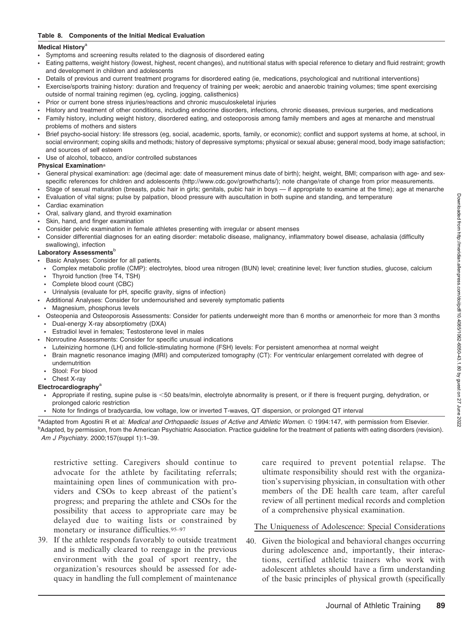#### Table 8. Components of the Initial Medical Evaluation

#### Medical History $\epsilon$

- Symptoms and screening results related to the diagnosis of disordered eating
- Eating patterns, weight history (lowest, highest, recent changes), and nutritional status with special reference to dietary and fluid restraint; growth and development in children and adolescents
- Details of previous and current treatment programs for disordered eating (ie, medications, psychological and nutritional interventions)
- Exercise/sports training history: duration and frequency of training per week; aerobic and anaerobic training volumes; time spent exercising outside of normal training regimen (eg, cycling, jogging, calisthenics)
- Prior or current bone stress injuries/reactions and chronic musculoskeletal injuries
- History and treatment of other conditions, including endocrine disorders, infections, chronic diseases, previous surgeries, and medications
- Family history, including weight history, disordered eating, and osteoporosis among family members and ages at menarche and menstrual problems of mothers and sisters
- Brief psycho-social history: life stressors (eg, social, academic, sports, family, or economic); conflict and support systems at home, at school, in social environment; coping skills and methods; history of depressive symptoms; physical or sexual abuse; general mood, body image satisfaction; and sources of self esteem
- Use of alcohol, tobacco, and/or controlled substances

#### Physical Examinationa

- General physical examination: age (decimal age: date of measurement minus date of birth); height, weight, BMI; comparison with age- and sexspecific references for children and adolescents (http://www.cdc.gov/growthcharts/); note change/rate of change from prior measurements.
- Stage of sexual maturation (breasts, pubic hair in girls; genitals, pubic hair in boys if appropriate to examine at the time); age at menarche
- Evaluation of vital signs; pulse by palpation, blood pressure with auscultation in both supine and standing, and temperature
- Cardiac examination
- Oral, salivary gland, and thyroid examination
- Skin, hand, and finger examination
- Consider pelvic examination in female athletes presenting with irregular or absent menses
- Consider differential diagnoses for an eating disorder: metabolic disease, malignancy, inflammatory bowel disease, achalasia (difficulty swallowing), infection

#### Laboratory Assessments<sup>b</sup>

- Basic Analyses: Consider for all patients.
- Complex metabolic profile (CMP): electrolytes, blood urea nitrogen (BUN) level; creatinine level; liver function studies, glucose, calcium
- Thyroid function (free T4, TSH)
- Complete blood count (CBC)
- Urinalysis (evaluate for pH, specific gravity, signs of infection)
- Additional Analyses: Consider for undernourished and severely symptomatic patients
- Magnesium, phosphorus levels
- Osteopenia and Osteoporosis Assessments: Consider for patients underweight more than 6 months or amenorrheic for more than 3 months
- Dual-energy X-ray absorptiometry (DXA)
- **Estradiol level in females; Testosterone level in males**
- Nonroutine Assessments: Consider for specific unusual indications
- Luteinizing hormone (LH) and follicle-stimulating hormone (FSH) levels: For persistent amenorrhea at normal weight
- Brain magnetic resonance imaging (MRI) and computerized tomography (CT): For ventricular enlargement correlated with degree of undernutrition
- Stool: For blood
- Chest X-ray

#### Electrocardiography $a$

- Appropriate if resting, supine pulse is <50 beats/min, electrolyte abnormality is present, or if there is frequent purging, dehydration, or prolonged caloric restriction
- N Note for findings of bradycardia, low voltage, low or inverted T-waves, QT dispersion, or prolonged QT interval

<sup>a</sup> Adapted from Agostini R et al: *Medical and Orthopaedic Issues of Active and Athletic Women*. © 1994:147, with permission from Elsevier.<br><sup>b</sup> Adapted by permission from the American Psychiatric Association. Practice qui <sup>b</sup>Adapted, by permission, from the American Psychiatric Association. Practice guideline for the treatment of patients with eating disorders (revision). Am J Psychiatry. 2000;157(suppl 1):1–39.

restrictive setting. Caregivers should continue to advocate for the athlete by facilitating referrals; maintaining open lines of communication with providers and CSOs to keep abreast of the patient's progress; and preparing the athlete and CSOs for the possibility that access to appropriate care may be delayed due to waiting lists or constrained by monetary or insurance difficulties.95–97

39. If the athlete responds favorably to outside treatment and is medically cleared to reengage in the previous environment with the goal of sport reentry, the organization's resources should be assessed for adequacy in handling the full complement of maintenance care required to prevent potential relapse. The ultimate responsibility should rest with the organization's supervising physician, in consultation with other members of the DE health care team, after careful review of all pertinent medical records and completion of a comprehensive physical examination.

# The Uniqueness of Adolescence: Special Considerations

40. Given the biological and behavioral changes occurring during adolescence and, importantly, their interactions, certified athletic trainers who work with adolescent athletes should have a firm understanding of the basic principles of physical growth (specifically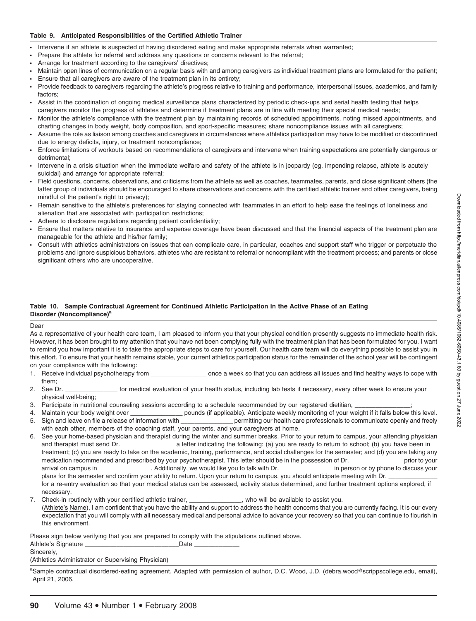#### Table 9. Anticipated Responsibilities of the Certified Athletic Trainer

- Intervene if an athlete is suspected of having disordered eating and make appropriate referrals when warranted;
- Prepare the athlete for referral and address any questions or concerns relevant to the referral;
- Arrange for treatment according to the caregivers' directives;
- Maintain open lines of communication on a regular basis with and among caregivers as individual treatment plans are formulated for the patient;
- Ensure that all caregivers are aware of the treatment plan in its entirety;
- Provide feedback to caregivers regarding the athlete's progress relative to training and performance, interpersonal issues, academics, and family factors;
- Assist in the coordination of ongoing medical surveillance plans characterized by periodic check-ups and serial health testing that helps caregivers monitor the progress of athletes and determine if treatment plans are in line with meeting their special medical needs;
- N Monitor the athlete's compliance with the treatment plan by maintaining records of scheduled appointments, noting missed appointments, and charting changes in body weight, body composition, and sport-specific measures; share noncompliance issues with all caregivers;
- Assume the role as liaison among coaches and caregivers in circumstances where athletics participation may have to be modified or discontinued due to energy deficits, injury, or treatment noncompliance;
- Enforce limitations of workouts based on recommendations of caregivers and intervene when training expectations are potentially dangerous or detrimental;
- Intervene in a crisis situation when the immediate welfare and safety of the athlete is in jeopardy (eq, impending relapse, athlete is acutely suicidal) and arrange for appropriate referral;
- Field questions, concerns, observations, and criticisms from the athlete as well as coaches, teammates, parents, and close significant others (the latter group of individuals should be encouraged to share observations and concerns with the certified athletic trainer and other caregivers, being mindful of the patient's right to privacy);
- N Remain sensitive to the athlete's preferences for staying connected with teammates in an effort to help ease the feelings of loneliness and alienation that are associated with participation restrictions;
- Adhere to disclosure regulations regarding patient confidentiality;
- Ensure that matters relative to insurance and expense coverage have been discussed and that the financial aspects of the treatment plan are manageable for the athlete and his/her family;
- Consult with athletics administrators on issues that can complicate care, in particular, coaches and support staff who trigger or perpetuate the problems and ignore suspicious behaviors, athletes who are resistant to referral or noncompliant with the treatment process; and parents or close significant others who are uncooperative.

#### Table 10. Sample Contractual Agreement for Continued Athletic Participation in the Active Phase of an Eating Disorder (Noncompliance)<sup>a</sup>

#### Dear

As a representative of your health care team, I am pleased to inform you that your physical condition presently suggests no immediate health risk. However, it has been brought to my attention that you have not been complying fully with the treatment plan that has been formulated for you. I want to remind you how important it is to take the appropriate steps to care for yourself. Our health care team will do everything possible to assist you in this effort. To ensure that your health remains stable, your current athletics participation status for the remainder of the school year will be contingent on your compliance with the following:

- 1. Receive individual psychotherapy from \_\_\_\_\_\_\_\_\_\_\_\_\_\_\_\_ once a week so that you can address all issues and find healthy ways to cope with them;
- 2. See Dr. \_\_\_\_\_\_\_\_\_\_\_\_\_\_\_ for medical evaluation of your health status, including lab tests if necessary, every other week to ensure your physical well-being;
- 3. Participate in nutritional counseling sessions according to a schedule recommended by our registered dietitian,
- 4. Maintain your body weight over \_\_\_\_\_\_\_\_\_\_\_\_\_\_\_ pounds (if applicable). Anticipate weekly monitoring of your weight if it falls below this level.
- 5. Sign and leave on file a release of information with \_\_\_\_\_\_\_\_\_\_\_\_\_\_\_ permitting our health care professionals to communicate openly and freely with each other, members of the coaching staff, your parents, and your caregivers at home.
- 6. See your home-based physician and therapist during the winter and summer breaks. Prior to your return to campus, your attending physician and therapist must send Dr. \_\_\_\_\_\_\_\_\_\_\_\_\_\_\_ a letter indicating the following: (a) you are ready to return to school; (b) you have been in treatment; (c) you are ready to take on the academic, training, performance, and social challenges for the semester; and (d) you are taking any medication recommended and prescribed by your psychotherapist. This letter should be in the possession of Dr. \_\_\_\_\_\_\_\_\_\_\_\_\_\_\_ prior to your arrival on campus in \_\_\_\_\_\_\_\_\_\_\_\_\_\_\_. Additionally, we would like you to talk with Dr. \_\_\_\_\_\_\_\_\_\_\_\_\_\_\_ in person or by phone to discuss your plans for the semester and confirm your ability to return. Upon your return to campus, you should anticipate meeting with Dr. for a re-entry evaluation so that your medical status can be assessed, activity status determined, and further treatment options explored, if necessary.
- 7. Check-in routinely with your certified athletic trainer, \_\_\_\_\_\_\_\_\_\_\_\_\_\_, who will be available to assist you. (Athlete's Name), I am confident that you have the ability and support to address the health concerns that you are currently facing. It is our every expectation that you will comply with all necessary medical and personal advice to advance your recovery so that you can continue to flourish in this environment.

Please sign below verifying that you are prepared to comply with the stipulations outlined above.

Athlete's Signature **Example 20** at the Date

# Sincerely,

(Athletics Administrator or Supervising Physician)

aSample contractual disordered-eating agreement. Adapted with permission of author, D.C. Wood, J.D. (debra.wood@scrippscollege.edu, email), April 21, 2006.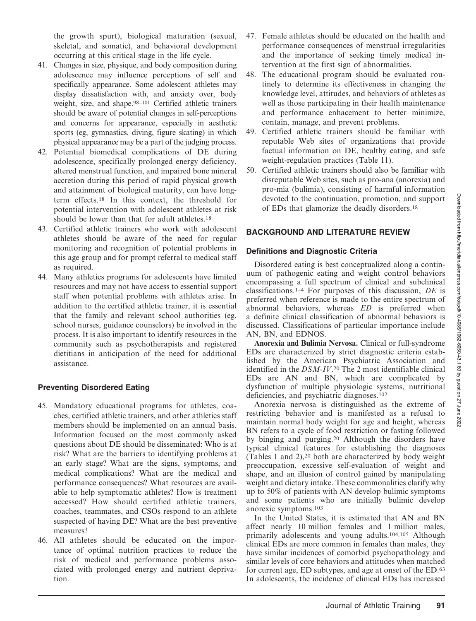the growth spurt), biological maturation (sexual, skeletal, and somatic), and behavioral development occurring at this critical stage in the life cycle.

- 41. Changes in size, physique, and body composition during adolescence may influence perceptions of self and specifically appearance. Some adolescent athletes may display dissatisfaction with, and anxiety over, body weight, size, and shape.98–101 Certified athletic trainers should be aware of potential changes in self-perceptions and concerns for appearance, especially in aesthetic sports (eg, gymnastics, diving, figure skating) in which physical appearance may be a part of the judging process.
- 42. Potential biomedical complications of DE during adolescence, specifically prolonged energy deficiency, altered menstrual function, and impaired bone mineral accretion during this period of rapid physical growth and attainment of biological maturity, can have longterm effects.18 In this context, the threshold for potential intervention with adolescent athletes at risk should be lower than that for adult athletes.18
- 43. Certified athletic trainers who work with adolescent athletes should be aware of the need for regular monitoring and recognition of potential problems in this age group and for prompt referral to medical staff as required.
- 44. Many athletics programs for adolescents have limited resources and may not have access to essential support staff when potential problems with athletes arise. In addition to the certified athletic trainer, it is essential that the family and relevant school authorities (eg, school nurses, guidance counselors) be involved in the process. It is also important to identify resources in the community such as psychotherapists and registered dietitians in anticipation of the need for additional assistance.

# Preventing Disordered Eating

- 45. Mandatory educational programs for athletes, coaches, certified athletic trainers, and other athletics staff members should be implemented on an annual basis. Information focused on the most commonly asked questions about DE should be disseminated: Who is at risk? What are the barriers to identifying problems at an early stage? What are the signs, symptoms, and medical complications? What are the medical and performance consequences? What resources are available to help symptomatic athletes? How is treatment accessed? How should certified athletic trainers, coaches, teammates, and CSOs respond to an athlete suspected of having DE? What are the best preventive measures?
- 46. All athletes should be educated on the importance of optimal nutrition practices to reduce the risk of medical and performance problems associated with prolonged energy and nutrient deprivation.
- 47. Female athletes should be educated on the health and performance consequences of menstrual irregularities and the importance of seeking timely medical intervention at the first sign of abnormalities.
- 48. The educational program should be evaluated routinely to determine its effectiveness in changing the knowledge level, attitudes, and behaviors of athletes as well as those participating in their health maintenance and performance enhacement to better minimize, contain, manage, and prevent problems.
- 49. Certified athletic trainers should be familiar with reputable Web sites of organizations that provide factual information on DE, healthy eating, and safe weight-regulation practices (Table 11).
- 50. Certified athletic trainers should also be familiar with disreputable Web sites, such as pro-ana (anorexia) and pro-mia (bulimia), consisting of harmful information devoted to the continuation, promotion, and support of EDs that glamorize the deadly disorders.18

# BACKGROUND AND LITERATURE REVIEW

# Definitions and Diagnostic Criteria

Disordered eating is best conceptualized along a continuum of pathogenic eating and weight control behaviors encompassing a full spectrum of clinical and subclinical classifications.<sup>1–4</sup> For purposes of this discussion, DE is preferred when reference is made to the entire spectrum of abnormal behaviors, whereas ED is preferred when a definite clinical classification of abnormal behaviors is discussed. Classifications of particular importance include AN, BN, and EDNOS.

Anorexia and Bulimia Nervosa. Clinical or full-syndrome EDs are characterized by strict diagnostic criteria established by the American Psychiatric Association and identified in the DSM-IV.20 The 2 most identifiable clinical EDs are AN and BN, which are complicated by dysfunction of multiple physiologic systems, nutritional deficiencies, and psychiatric diagnoses.102

Anorexia nervosa is distinguished as the extreme of restricting behavior and is manifested as a refusal to maintain normal body weight for age and height, whereas BN refers to a cycle of food restriction or fasting followed by binging and purging.20 Although the disorders have typical clinical features for establishing the diagnoses (Tables 1 and 2),20 both are characterized by body weight preoccupation, excessive self-evaluation of weight and shape, and an illusion of control gained by manipulating weight and dietary intake. These commonalities clarify why up to 50% of patients with AN develop bulimic symptoms and some patients who are initially bulimic develop anorexic symptoms.103

In the United States, it is estimated that AN and BN affect nearly 10 million females and 1 million males, primarily adolescents and young adults.104,105 Although clinical EDs are more common in females than males, they have similar incidences of comorbid psychopathology and similar levels of core behaviors and attitudes when matched for current age, ED subtypes, and age at onset of the ED.63 In adolescents, the incidence of clinical EDs has increased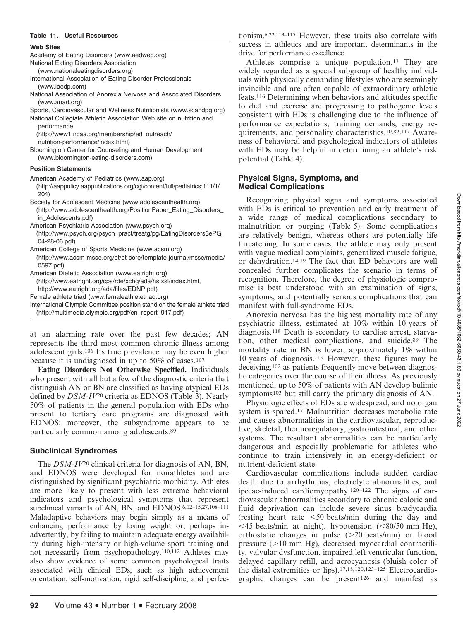#### Table 11. Useful Resources

#### Web Sites

| Academy of Eating Disorders (www.aedweb.org) |
|----------------------------------------------|
| National Eating Disorders Association        |

(www.nationaleatingdisorders.org) International Association of Eating Disorder Professionals (www.iaedp.com)

National Association of Anorexia Nervosa and Associated Disorders (www.anad.org)

Sports, Cardiovascular and Wellness Nutritionists (www.scandpg.org)

National Collegiate Athletic Association Web site on nutrition and performance

(http://www1.ncaa.org/membership/ed\_outreach/ nutrition-performance/index.html)

Bloomington Center for Counseling and Human Development (www.bloomington-eating-disorders.com)

#### Position Statements

American Academy of Pediatrics (www.aap.org)

(http://aappolicy.aappublications.org/cgi/content/full/pediatrics;111/1/ 204)

Society for Adolescent Medicine (www.adolescenthealth.org) (http://www.adolescenthealth.org/PositionPaper\_Eating\_Disorders\_

in\_Adolescents.pdf) American Psychiatric Association (www.psych.org)

- (http://www.psych.org/psych\_pract/treatg/pg/EatingDisorders3ePG\_ 04-28-06.pdf)
- American College of Sports Medicine (www.acsm.org) (http://www.acsm-msse.org/pt/pt-core/template-journal/msse/media/ 0597.pdf)
- American Dietetic Association (www.eatright.org) (http://www.eatright.org/cps/rde/xchg/ada/hs.xsl/index.html, http://www.eatright.org/ada/files/EDNP.pdf)

Female athlete triad (www.femaleathletetriad.org)

International Olympic Committee position stand on the female athlete triad (http://multimedia.olympic.org/pdf/en\_report\_917.pdf)

at an alarming rate over the past few decades; AN represents the third most common chronic illness among adolescent girls.106 Its true prevalence may be even higher because it is undiagnosed in up to 50% of cases.107

Eating Disorders Not Otherwise Specified. Individuals who present with all but a few of the diagnostic criteria that distinguish AN or BN are classified as having atypical EDs defined by DSM-IV20 criteria as EDNOS (Table 3). Nearly 50% of patients in the general population with EDs who present to tertiary care programs are diagnosed with EDNOS; moreover, the subsyndrome appears to be particularly common among adolescents.89

# Subclinical Syndromes

The DSM-IV20 clinical criteria for diagnosis of AN, BN, and EDNOS were developed for nonathletes and are distinguished by significant psychiatric morbidity. Athletes are more likely to present with less extreme behavioral indicators and psychological symptoms that represent subclinical variants of AN, BN, and EDNOS.<sup>6,12-15,27,108-111</sup> Maladaptive behaviors may begin simply as a means of enhancing performance by losing weight or, perhaps inadvertently, by failing to maintain adequate energy availability during high-intensity or high-volume sport training and not necessarily from psychopathology.110,112 Athletes may also show evidence of some common psychological traits associated with clinical EDs, such as high achievement orientation, self-motivation, rigid self-discipline, and perfec-

tionism.6,22,113–115 However, these traits also correlate with success in athletics and are important determinants in the drive for performance excellence.

Athletes comprise a unique population.13 They are widely regarded as a special subgroup of healthy individuals with physically demanding lifestyles who are seemingly invincible and are often capable of extraordinary athletic feats.116 Determining when behaviors and attitudes specific to diet and exercise are progressing to pathogenic levels consistent with EDs is challenging due to the influence of performance expectations, training demands, energy requirements, and personality characteristics.10,89,117 Awareness of behavioral and psychological indicators of athletes with EDs may be helpful in determining an athlete's risk potential (Table 4).

# Physical Signs, Symptoms, and Medical Complications

Recognizing physical signs and symptoms associated with EDs is critical to prevention and early treatment of a wide range of medical complications secondary to malnutrition or purging (Table 5). Some complications are relatively benign, whereas others are potentially life threatening. In some cases, the athlete may only present with vague medical complaints, generalized muscle fatigue, or dehydration.14,19 The fact that ED behaviors are well concealed further complicates the scenario in terms of recognition. Therefore, the degree of physiologic compromise is best understood with an examination of signs, symptoms, and potentially serious complications that can manifest with full-syndrome EDs.

Anorexia nervosa has the highest mortality rate of any psychiatric illness, estimated at 10% within 10 years of diagnosis.118 Death is secondary to cardiac arrest, starvation, other medical complications, and suicide.89 The mortality rate in BN is lower, approximately 1% within 10 years of diagnosis.119 However, these figures may be deceiving,102 as patients frequently move between diagnostic categories over the course of their illness. As previously mentioned, up to 50% of patients with AN develop bulimic symptoms<sup>103</sup> but still carry the primary diagnosis of AN.

Physiologic effects of EDs are widespread, and no organ system is spared.17 Malnutrition decreases metabolic rate and causes abnormalities in the cardiovascular, reproductive, skeletal, thermoregulatory, gastrointestinal, and other systems. The resultant abnormalities can be particularly dangerous and especially problematic for athletes who continue to train intensively in an energy-deficient or nutrient-deficient state.

Cardiovascular complications include sudden cardiac death due to arrhythmias, electrolyte abnormalities, and ipecac-induced cardiomyopathy.120–122 The signs of cardiovascular abnormalities secondary to chronic caloric and fluid deprivation can include severe sinus bradycardia (resting heart rate  $\leq 50$  beats/min during the day and  $\leq$ 45 beats/min at night), hypotension ( $\leq$ 80/50 mm Hg), orthostatic changes in pulse  $(>20 \text{ beats/min})$  or blood pressure  $(>10 \text{ mm Hg})$ , decreased myocardial contractility, valvular dysfunction, impaired left ventricular function, delayed capillary refill, and acrocyanosis (bluish color of the distal extremities or lips).17,18,120,123–125 Electrocardiographic changes can be present126 and manifest as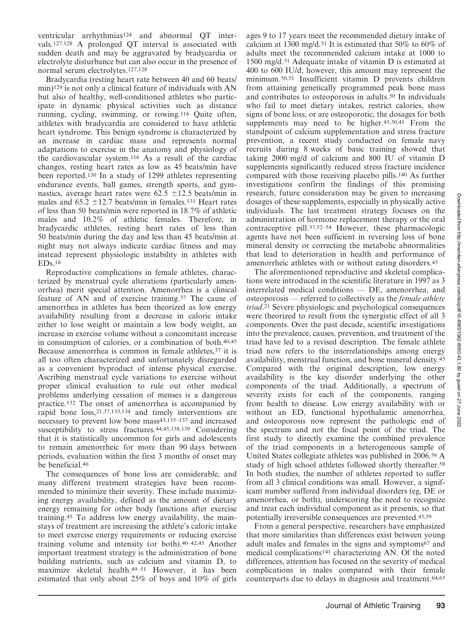ventricular arrhythmias124 and abnormal QT intervals.127,128 A prolonged QT interval is associated with sudden death and may be aggravated by bradycardia or electrolyte disturbance but can also occur in the presence of normal serum electrolytes.127,128

Bradycardia (resting heart rate between 40 and 60 beats/ min)<sup>129</sup> is not only a clinical feature of individuals with AN but also of healthy, well-conditioned athletes who participate in dynamic physical activities such as distance running, cycling, swimming, or rowing.116 Quite often, athletes with bradycardia are considered to have athletic heart syndrome. This benign syndrome is characterized by an increase in cardiac mass and represents normal adaptations to exercise in the anatomy and physiology of the cardiovascular system.116 As a result of the cardiac changes, resting heart rates as low as 45 beats/min have been reported.130 In a study of 1299 athletes representing endurance events, ball games, strength sports, and gymnastics, average heart rates were  $62.5 \pm 12.5$  beats/min in males and  $65.2 \pm 12.7$  beats/min in females.<sup>131</sup> Heart rates of less than 50 beats/min were reported in 18.7% of athletic males and 10.2% of athletic females. Therefore, in bradycardic athletes, resting heart rates of less than 50 beats/min during the day and less than 45 beats/min at night may not always indicate cardiac fitness and may instead represent physiologic instability in athletes with EDs.18

Reproductive complications in female athletes, characterized by menstrual cycle alterations (particularly amenorrhea) merit special attention. Amenorrhea is a clinical feature of AN and of exercise training.37 The cause of amenorrhea in athletes has been theorized as low energy availability resulting from a decrease in caloric intake either to lose weight or maintain a low body weight, an increase in exercise volume without a concomitant increase in consumption of calories, or a combination of both.40,45 Because amenorrhea is common in female athletes,37 it is all too often characterized and unfortunately disregarded as a convenient byproduct of intense physical exercise. Ascribing menstrual cycle variations to exercise without proper clinical evaluation to rule out other medical problems underlying cessation of menses is a dangerous practice.132 The onset of amenorrhea is accompanied by rapid bone loss,21,37,133,134 and timely interventions are necessary to prevent low bone mass43,135–137 and increased susceptibility to stress fractures.44,45,138,139 Considering that it is statistically uncommon for girls and adolescents to remain amenorrheic for more than 90 days between periods, evaluation within the first 3 months of onset may be beneficial.46

The consequences of bone loss are considerable, and many different treatment strategies have been recommended to minimize their severity. These include maximizing energy availability, defined as the amount of dietary energy remaining for other body functions after exercise training.45 To address low energy availability, the mainstays of treatment are increasing the athlete's caloric intake to meet exercise energy requirements or reducing exercise training volume and intensity (or both).40–42,45 Another important treatment strategy is the administration of bone building nutrients, such as calcium and vitamin D, to maximize skeletal health.49–51 However, it has been estimated that only about 25% of boys and 10% of girls ages 9 to 17 years meet the recommended dietary intake of calcium at 1300 mg/d.51 It is estimated that 50% to 60% of adults meet the recommended calcium intake at 1000 to 1500 mg/d.51 Adequate intake of vitamin D is estimated at 400 to 600 IU/d; however, this amount may represent the minimum.50,51 Insufficient vitamin D prevents children from attaining genetically programmed peak bone mass and contributes to osteoporosis in adults.50 In individuals who fail to meet dietary intakes, restrict calories, show signs of bone loss, or are osteoporotic, the dosages for both supplements may need to be higher.<sup>45,50,41</sup> From the standpoint of calcium supplementation and stress fracture prevention, a recent study conducted on female navy recruits during 8 weeks of basic training showed that taking 2000 mg/d of calcium and 800 IU of vitamin D supplements significantly reduced stress fracture incidence compared with those receiving placebo pills.140 As further investigations confirm the findings of this promising research, future consideration may be given to increasing dosages of these supplements, especially in physically active individuals. The last treatment strategy focuses on the administration of hormone replacement therapy or the oral contraceptive pill.37,52–54 However, these pharmacologic agents have not been sufficient in reversing loss of bone mineral density or correcting the metabolic abnormalities that lead to deterioration in health and performance of amenorrheic athletes with or without eating disorders.45

The aforementioned reproductive and skeletal complications were introduced in the scientific literature in 1997 as 3 interrelated medical conditions — DE, amenorrhea, and osteoporosis — referred to collectively as the female athlete triad.21 Severe physiologic and psychological consequences were theorized to result from the synergistic effect of all 3 components. Over the past decade, scientific investigations into the prevalence, causes, prevention, and treatment of the triad have led to a revised description. The female athlete triad now refers to the interrelationships among energy availability, menstrual function, and bone mineral density.45 Compared with the original description, low energy availability is the key disorder underlying the other components of the triad. Additionally, a spectrum of severity exists for each of the components, ranging from health to disease. Low energy availability with or without an ED, functional hypothalamic amenorrhea, and osteoporosis now represent the pathologic end of the spectrum and not the focal point of the triad. The first study to directly examine the combined prevalence of the triad components in a heterogeneous sample of United States collegiate athletes was published in 2006.59 A study of high school athletes followed shortly thereafter.58 In both studies, the number of athletes reported to suffer from all 3 clinical conditions was small. However, a significant number suffered from individual disorders (eg, DE or amenorrhea, or both), underscoring the need to recognize and treat each individual component as it presents, so that potentially irreversible consequences are prevented.45,59

From a general perspective, researchers have emphasized that more similarities than differences exist between young adult males and females in the signs and symptoms67 and medical complications141 characterizing AN. Of the noted differences, attention has focused on the severity of medical complications in males compared with their female counterparts due to delays in diagnosis and treatment.64,65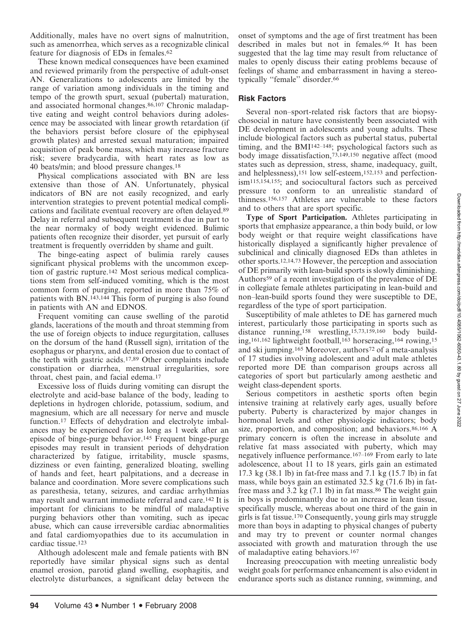Additionally, males have no overt signs of malnutrition, such as amenorrhea, which serves as a recognizable clinical feature for diagnosis of EDs in females.62

These known medical consequences have been examined and reviewed primarily from the perspective of adult-onset AN. Generalizations to adolescents are limited by the range of variation among individuals in the timing and tempo of the growth spurt, sexual (pubertal) maturation, and associated hormonal changes.86,107 Chronic maladaptive eating and weight control behaviors during adolescence may be associated with linear growth retardation (if the behaviors persist before closure of the epiphyseal growth plates) and arrested sexual maturation; impaired acquisition of peak bone mass, which may increase fracture risk; severe bradycardia, with heart rates as low as 40 beats/min; and blood pressure changes.18

Physical complications associated with BN are less extensive than those of AN. Unfortunately, physical indicators of BN are not easily recognized, and early intervention strategies to prevent potential medical complications and facilitate eventual recovery are often delayed.89 Delay in referral and subsequent treatment is due in part to the near normalcy of body weight evidenced. Bulimic patients often recognize their disorder, yet pursuit of early treatment is frequently overridden by shame and guilt.

The binge-eating aspect of bulimia rarely causes significant physical problems with the uncommon exception of gastric rupture.142 Most serious medical complications stem from self-induced vomiting, which is the most common form of purging, reported in more than 75% of patients with BN.143,144 This form of purging is also found in patients with AN and EDNOS.

Frequent vomiting can cause swelling of the parotid glands, lacerations of the mouth and throat stemming from the use of foreign objects to induce regurgitation, calluses on the dorsum of the hand (Russell sign), irritation of the esophagus or pharynx, and dental erosion due to contact of the teeth with gastric acids.17,89 Other complaints include constipation or diarrhea, menstrual irregularities, sore throat, chest pain, and facial edema.17

Excessive loss of fluids during vomiting can disrupt the electrolyte and acid-base balance of the body, leading to depletions in hydrogen chloride, potassium, sodium, and magnesium, which are all necessary for nerve and muscle function.17 Effects of dehydration and electrolyte imbalances may be experienced for as long as 1 week after an episode of binge-purge behavior.145 Frequent binge-purge episodes may result in transient periods of dehydration characterized by fatigue, irritability, muscle spasms, dizziness or even fainting, generalized bloating, swelling of hands and feet, heart palpitations, and a decrease in balance and coordination. More severe complications such as paresthesia, tetany, seizures, and cardiac arrhythmias may result and warrant immediate referral and care.142 It is important for clinicians to be mindful of maladaptive purging behaviors other than vomiting, such as ipecac abuse, which can cause irreversible cardiac abnormalities and fatal cardiomyopathies due to its accumulation in cardiac tissue.123

Although adolescent male and female patients with BN reportedly have similar physical signs such as dental enamel erosion, parotid gland swelling, esophagitis, and electrolyte disturbances, a significant delay between the

onset of symptoms and the age of first treatment has been described in males but not in females.66 It has been suggested that the lag time may result from reluctance of males to openly discuss their eating problems because of feelings of shame and embarrassment in having a stereotypically "female" disorder.<sup>66</sup>

#### Risk Factors

Several non–sport-related risk factors that are biopsychosocial in nature have consistently been associated with DE development in adolescents and young adults. These include biological factors such as pubertal status, pubertal timing, and the BMI142–148; psychological factors such as body image dissatisfaction,73,149,150 negative affect (mood states such as depression, stress, shame, inadequacy, guilt, and helplessness),151 low self-esteem,152,153 and perfectionism115,154,155; and sociocultural factors such as perceived pressure to conform to an unrealistic standard of thinness.156,157 Athletes are vulnerable to these factors and to others that are sport specific.

Type of Sport Participation. Athletes participating in sports that emphasize appearance, a thin body build, or low body weight or that require weight classifications have historically displayed a significantly higher prevalence of subclinical and clinically diagnosed EDs than athletes in other sports.12,14,73 However, the perception and association of DE primarily with lean-build sports is slowly diminishing. Authors59 of a recent investigation of the prevalence of DE in collegiate female athletes participating in lean-build and non–lean-build sports found they were susceptible to DE, regardless of the type of sport participation.

Susceptibility of male athletes to DE has garnered much interest, particularly those participating in sports such as distance running,<sup>158</sup> wrestling,<sup>15,73,159,160</sup> body building,161,162 lightweight football,163 horseracing,164 rowing,15 and ski jumping.165 Moreover, authors72 of a meta-analysis of 17 studies involving adolescent and adult male athletes reported more DE than comparison groups across all categories of sport but particularly among aesthetic and weight class-dependent sports.

Serious competitors in aesthetic sports often begin intensive training at relatively early ages, usually before puberty. Puberty is characterized by major changes in hormonal levels and other physiologic indicators; body size, proportion, and composition; and behaviors.<sup>86,166</sup> A primary concern is often the increase in absolute and relative fat mass associated with puberty, which may negatively influence performance.167–169 From early to late adolescence, about 11 to 18 years, girls gain an estimated 17.3 kg (38.1 lb) in fat-free mass and 7.1 kg (15.7 lb) in fat mass, while boys gain an estimated 32.5 kg (71.6 lb) in fatfree mass and 3.2 kg  $(7.1 \text{ lb})$  in fat mass.<sup>86</sup> The weight gain in boys is predominantly due to an increase in lean tissue, specifically muscle, whereas about one third of the gain in girls is fat tissue.170 Consequently, young girls may struggle more than boys in adapting to physical changes of puberty and may try to prevent or counter normal changes associated with growth and maturation through the use of maladaptive eating behaviors.167

Increasing preoccupation with meeting unrealistic body weight goals for performance enhancement is also evident in endurance sports such as distance running, swimming, and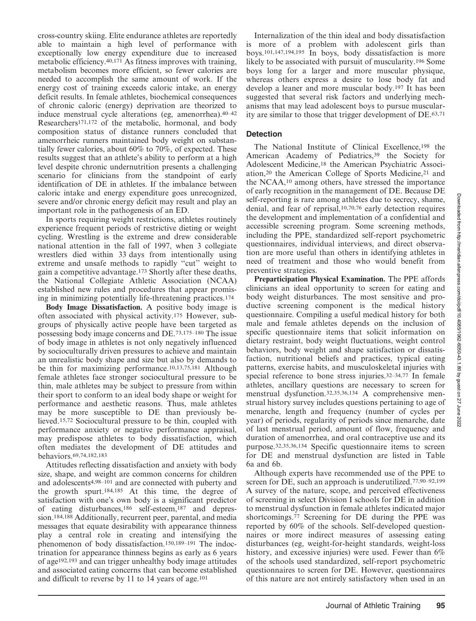cross-country skiing. Elite endurance athletes are reportedly able to maintain a high level of performance with exceptionally low energy expenditure due to increased metabolic efficiency.40,171 As fitness improves with training, metabolism becomes more efficient, so fewer calories are needed to accomplish the same amount of work. If the energy cost of training exceeds caloric intake, an energy deficit results. In female athletes, biochemical consequences of chronic caloric (energy) deprivation are theorized to induce menstrual cycle alterations (eg, amenorrhea).40–42 Researchers171,172 of the metabolic, hormonal, and body composition status of distance runners concluded that amenorrheic runners maintained body weight on substantially fewer calories, about 60% to 70%, of expected. These results suggest that an athlete's ability to perform at a high level despite chronic undernutrition presents a challenging scenario for clinicians from the standpoint of early identification of DE in athletes. If the imbalance between caloric intake and energy expenditure goes unrecognized, severe and/or chronic energy deficit may result and play an important role in the pathogenesis of an ED.

In sports requiring weight restrictions, athletes routinely experience frequent periods of restrictive dieting or weight cycling. Wrestling is the extreme and drew considerable national attention in the fall of 1997, when 3 collegiate wrestlers died within 33 days from intentionally using extreme and unsafe methods to rapidly ''cut'' weight to gain a competitive advantage.173 Shortly after these deaths, the National Collegiate Athletic Association (NCAA) established new rules and procedures that appear promising in minimizing potentially life-threatening practices.174

Body Image Dissatisfaction. A positive body image is often associated with physical activity.175 However, subgroups of physically active people have been targeted as possessing body image concerns and DE.73,175–180 The issue of body image in athletes is not only negatively influenced by socioculturally driven pressures to achieve and maintain an unrealistic body shape and size but also by demands to be thin for maximizing performance.10,13,75,181 Although female athletes face stronger sociocultural pressure to be thin, male athletes may be subject to pressure from within their sport to conform to an ideal body shape or weight for performance and aesthetic reasons. Thus, male athletes may be more susceptible to DE than previously believed.15,72 Sociocultural pressure to be thin, coupled with performance anxiety or negative performance appraisal, may predispose athletes to body dissatisfaction, which often mediates the development of DE attitudes and behaviors.69,74,182,183

Attitudes reflecting dissatisfaction and anxiety with body size, shape, and weight are common concerns for children and adolescents4,98–101 and are connected with puberty and the growth spurt.184,185 At this time, the degree of satisfaction with one's own body is a significant predictor of eating disturbances,186 self-esteem,187 and depression.184,188 Additionally, recurrent peer, parental, and media messages that equate desirability with appearance thinness play a central role in creating and intensifying the phenomenon of body dissatisfaction.150,189–191 The indoctrination for appearance thinness begins as early as 6 years of age192,193 and can trigger unhealthy body image attitudes and associated eating concerns that can become established and difficult to reverse by 11 to 14 years of age.101

Internalization of the thin ideal and body dissatisfaction is more of a problem with adolescent girls than boys.101,147,194,195 In boys, body dissatisfaction is more likely to be associated with pursuit of muscularity.<sup>196</sup> Some boys long for a larger and more muscular physique, whereas others express a desire to lose body fat and develop a leaner and more muscular body.197 It has been suggested that several risk factors and underlying mechanisms that may lead adolescent boys to pursue muscularity are similar to those that trigger development of DE.63,71

# Detection

The National Institute of Clinical Excellence,198 the American Academy of Pediatrics,<sup>39</sup> the Society for Adolescent Medicine,18 the American Psychiatric Association,20 the American College of Sports Medicine,21 and the NCAA,10 among others, have stressed the importance of early recognition in the management of DE. Because DE self-reporting is rare among athletes due to secrecy, shame, denial, and fear of reprisal,10,70,76 early detection requires the development and implementation of a confidential and accessible screening program. Some screening methods, including the PPE, standardized self-report psychometric questionnaires, individual interviews, and direct observation are more useful than others in identifying athletes in need of treatment and those who would benefit from preventive strategies.

Preparticipation Physical Examination. The PPE affords clinicians an ideal opportunity to screen for eating and body weight disturbances. The most sensitive and productive screening component is the medical history questionnaire. Compiling a useful medical history for both male and female athletes depends on the inclusion of specific questionnaire items that solicit information on dietary restraint, body weight fluctuations, weight control behaviors, body weight and shape satisfaction or dissatisfaction, nutritional beliefs and practices, typical eating patterns, exercise habits, and musculoskeletal injuries with special reference to bone stress injuries.32–34,77 In female athletes, ancillary questions are necessary to screen for menstrual dysfunction.32,35,36,134 A comprehensive menstrual history survey includes questions pertaining to age of menarche, length and frequency (number of cycles per year) of periods, regularity of periods since menarche, date of last menstrual period, amount of flow, frequency and duration of amenorrhea, and oral contraceptive use and its purpose.32,35,36,134 Specific questionnaire items to screen for DE and menstrual dysfunction are listed in Table 6a and 6b.

Although experts have recommended use of the PPE to screen for DE, such an approach is underutilized.<sup>77,90–92,199</sup> A survey of the nature, scope, and perceived effectiveness of screening in select Division I schools for DE in addition to menstrual dysfunction in female athletes indicated major shortcomings.77 Screening for DE during the PPE was reported by 60% of the schools. Self-developed questionnaires or more indirect measures of assessing eating disturbances (eg, weight-for-height standards, weight-loss history, and excessive injuries) were used. Fewer than 6% of the schools used standardized, self-report psychometric questionnaires to screen for DE. However, questionnaires of this nature are not entirely satisfactory when used in an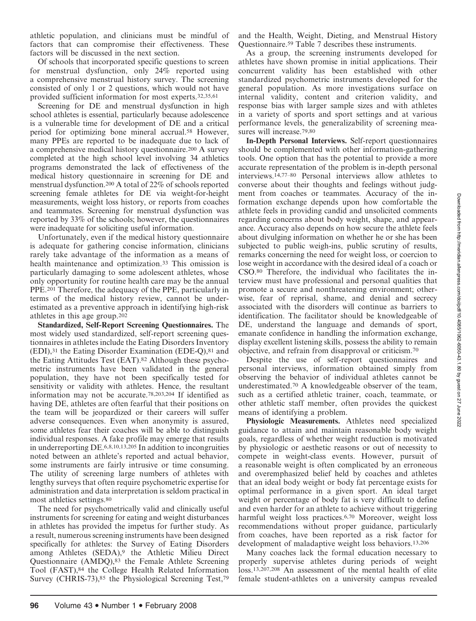athletic population, and clinicians must be mindful of factors that can compromise their effectiveness. These factors will be discussed in the next section.

Of schools that incorporated specific questions to screen for menstrual dysfunction, only 24% reported using a comprehensive menstrual history survey. The screening consisted of only 1 or 2 questions, which would not have provided sufficient information for most experts.32,35,61

Screening for DE and menstrual dysfunction in high school athletes is essential, particularly because adolescence is a vulnerable time for development of DE and a critical period for optimizing bone mineral accrual.58 However, many PPEs are reported to be inadequate due to lack of a comprehensive medical history questionnaire.200 A survey completed at the high school level involving 34 athletics programs demonstrated the lack of effectiveness of the medical history questionnaire in screening for DE and menstrual dysfunction.200 A total of 22% of schools reported screening female athletes for DE via weight-for-height measurements, weight loss history, or reports from coaches and teammates. Screening for menstrual dysfunction was reported by 33% of the schools; however, the questionnaires were inadequate for soliciting useful information.

Unfortunately, even if the medical history questionnaire is adequate for gathering concise information, clinicians rarely take advantage of the information as a means of health maintenance and optimization.33 This omission is particularly damaging to some adolescent athletes, whose only opportunity for routine health care may be the annual PPE.201 Therefore, the adequacy of the PPE, particularly in terms of the medical history review, cannot be underestimated as a preventive approach in identifying high-risk athletes in this age group.202

Standardized, Self-Report Screening Questionnaires. The most widely used standardized, self-report screening questionnaires in athletes include the Eating Disorders Inventory (EDI),31 the Eating Disorder Examination (EDE-Q),81 and the Eating Attitudes Test (EAT).82 Although these psychometric instruments have been validated in the general population, they have not been specifically tested for sensitivity or validity with athletes. Hence, the resultant information may not be accurate.78,203,204 If identified as having DE, athletes are often fearful that their positions on the team will be jeopardized or their careers will suffer adverse consequences. Even when anonymity is assured, some athletes fear their coaches will be able to distinguish individual responses. A fake profile may emerge that results in underreporting DE.6,8,10,13,205 In addition to incongruities noted between an athlete's reported and actual behavior, some instruments are fairly intrusive or time consuming. The utility of screening large numbers of athletes with lengthy surveys that often require psychometric expertise for administration and data interpretation is seldom practical in most athletics settings.80

The need for psychometrically valid and clinically useful instruments for screening for eating and weight disturbances in athletes has provided the impetus for further study. As a result, numerous screening instruments have been designed specifically for athletes: the Survey of Eating Disorders among Athletes (SEDA),<sup>9</sup> the Athletic Milieu Direct Questionnaire (AMDQ),<sup>83</sup> the Female Athlete Screening Tool (FAST),84 the College Health Related Information Survey (CHRIS-73),<sup>85</sup> the Physiological Screening Test,<sup>79</sup>

and the Health, Weight, Dieting, and Menstrual History Questionnaire.59 Table 7 describes these instruments.

As a group, the screening instruments developed for athletes have shown promise in initial applications. Their concurrent validity has been established with other standardized psychometric instruments developed for the general population. As more investigations surface on internal validity, content and criterion validity, and response bias with larger sample sizes and with athletes in a variety of sports and sport settings and at various performance levels, the generalizability of screening measures will increase.79,80

In-Depth Personal Interviews. Self-report questionnaires should be complemented with other information-gathering tools. One option that has the potential to provide a more accurate representation of the problem is in-depth personal interviews.14,77–80 Personal interviews allow athletes to converse about their thoughts and feelings without judgment from coaches or teammates. Accuracy of the information exchange depends upon how comfortable the athlete feels in providing candid and unsolicited comments regarding concerns about body weight, shape, and appearance. Accuracy also depends on how secure the athlete feels about divulging information on whether he or she has been subjected to public weigh-ins, public scrutiny of results, remarks concerning the need for weight loss, or coercion to lose weight in accordance with the desired ideal of a coach or CSO.80 Therefore, the individual who facilitates the interview must have professional and personal qualities that promote a secure and nonthreatening environment; otherwise, fear of reprisal, shame, and denial and secrecy associated with the disorders will continue as barriers to identification. The facilitator should be knowledgeable of DE, understand the language and demands of sport, emanate confidence in handling the information exchange, display excellent listening skills, possess the ability to remain objective, and refrain from disapproval or criticism.70

Despite the use of self-report questionnaires and personal interviews, information obtained simply from observing the behavior of individual athletes cannot be underestimated.70 A knowledgeable observer of the team, such as a certified athletic trainer, coach, teammate, or other athletic staff member, often provides the quickest means of identifying a problem.

Physiologic Measurements. Athletes need specialized guidance to attain and maintain reasonable body weight goals, regardless of whether weight reduction is motivated by physiologic or aesthetic reasons or out of necessity to compete in weight-class events. However, pursuit of a reasonable weight is often complicated by an erroneous and overemphasized belief held by coaches and athletes that an ideal body weight or body fat percentage exists for optimal performance in a given sport. An ideal target weight or percentage of body fat is very difficult to define and even harder for an athlete to achieve without triggering harmful weight loss practices.6,70 Moreover, weight loss recommendations without proper guidance, particularly from coaches, have been reported as a risk factor for development of maladaptive weight loss behaviors.13,206

Many coaches lack the formal education necessary to properly supervise athletes during periods of weight loss.13,207,208 An assessment of the mental health of elite female student-athletes on a university campus revealed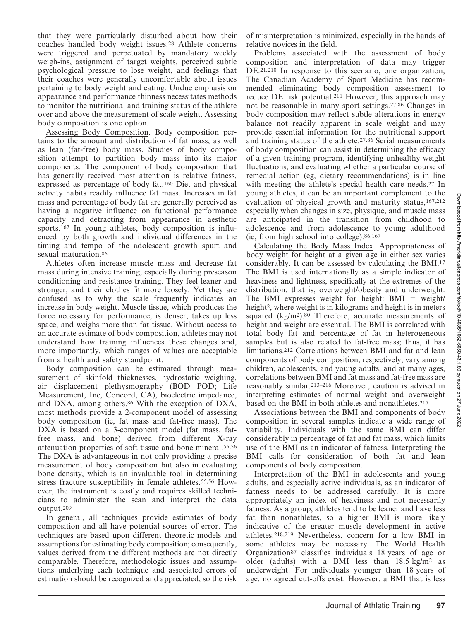that they were particularly disturbed about how their coaches handled body weight issues.28 Athlete concerns were triggered and perpetuated by mandatory weekly weigh-ins, assignment of target weights, perceived subtle psychological pressure to lose weight, and feelings that their coaches were generally uncomfortable about issues pertaining to body weight and eating. Undue emphasis on appearance and performance thinness necessitates methods to monitor the nutritional and training status of the athlete over and above the measurement of scale weight. Assessing body composition is one option.

Assessing Body Composition. Body composition pertains to the amount and distribution of fat mass, as well as lean (fat-free) body mass. Studies of body composition attempt to partition body mass into its major components. The component of body composition that has generally received most attention is relative fatness, expressed as percentage of body fat.160 Diet and physical activity habits readily influence fat mass. Increases in fat mass and percentage of body fat are generally perceived as having a negative influence on functional performance capacity and detracting from appearance in aesthetic sports.167 In young athletes, body composition is influenced by both growth and individual differences in the timing and tempo of the adolescent growth spurt and sexual maturation.86

Athletes often increase muscle mass and decrease fat mass during intensive training, especially during preseason conditioning and resistance training. They feel leaner and stronger, and their clothes fit more loosely. Yet they are confused as to why the scale frequently indicates an increase in body weight. Muscle tissue, which produces the force necessary for performance, is denser, takes up less space, and weighs more than fat tissue. Without access to an accurate estimate of body composition, athletes may not understand how training influences these changes and, more importantly, which ranges of values are acceptable from a health and safety standpoint.

Body composition can be estimated through measurement of skinfold thicknesses, hydrostatic weighing, air displacement plethysmography (BOD POD; Life Measurement, Inc, Concord, CA), bioelectric impedance, and DXA, among others.86 With the exception of DXA, most methods provide a 2-component model of assessing body composition (ie, fat mass and fat-free mass). The DXA is based on a 3-component model (fat mass, fatfree mass, and bone) derived from different X-ray attenuation properties of soft tissue and bone mineral.55,56 The DXA is advantageous in not only providing a precise measurement of body composition but also in evaluating bone density, which is an invaluable tool in determining stress fracture susceptibility in female athletes.55,56 However, the instrument is costly and requires skilled technicians to administer the scan and interpret the data output.209

In general, all techniques provide estimates of body composition and all have potential sources of error. The techniques are based upon different theoretic models and assumptions for estimating body composition; consequently, values derived from the different methods are not directly comparable. Therefore, methodologic issues and assumptions underlying each technique and associated errors of estimation should be recognized and appreciated, so the risk of misinterpretation is minimized, especially in the hands of relative novices in the field.

Problems associated with the assessment of body composition and interpretation of data may trigger DE.21,210 In response to this scenario, one organization, The Canadian Academy of Sport Medicine has recommended eliminating body composition assessment to reduce DE risk potential.211 However, this approach may not be reasonable in many sport settings.27,86 Changes in body composition may reflect subtle alterations in energy balance not readily apparent in scale weight and may provide essential information for the nutritional support and training status of the athlete.27,86 Serial measurements of body composition can assist in determining the efficacy of a given training program, identifying unhealthy weight fluctuations, and evaluating whether a particular course of remedial action (eg, dietary recommendations) is in line with meeting the athlete's special health care needs.<sup>27</sup> In young athletes, it can be an important complement to the evaluation of physical growth and maturity status,167,212 especially when changes in size, physique, and muscle mass are anticipated in the transition from childhood to adolescence and from adolescence to young adulthood (ie, from high school into college).86,167

Calculating the Body Mass Index. Appropriateness of body weight for height at a given age in either sex varies considerably. It can be assessed by calculating the BMI.17 The BMI is used internationally as a simple indicator of heaviness and lightness, specifically at the extremes of the distribution: that is, overweight/obesity and underweight. The BMI expresses weight for height:  $BMI = weight/$ height<sup>2</sup>, where weight is in kilograms and height is in meters squared (kg/m2).80 Therefore, accurate measurements of height and weight are essential. The BMI is correlated with total body fat and percentage of fat in heterogeneous samples but is also related to fat-free mass; thus, it has limitations.212 Correlations between BMI and fat and lean components of body composition, respectively, vary among children, adolescents, and young adults, and at many ages, correlations between BMI and fat mass and fat-free mass are reasonably similar.213–216 Moreover, caution is advised in interpreting estimates of normal weight and overweight based on the BMI in both athletes and nonathletes.217

Associations between the BMI and components of body composition in several samples indicate a wide range of variability. Individuals with the same BMI can differ considerably in percentage of fat and fat mass, which limits use of the BMI as an indicator of fatness. Interpreting the BMI calls for consideration of both fat and lean components of body composition.

Interpretation of the BMI in adolescents and young adults, and especially active individuals, as an indicator of fatness needs to be addressed carefully. It is more appropriately an index of heaviness and not necessarily fatness. As a group, athletes tend to be leaner and have less fat than nonathletes, so a higher BMI is more likely indicative of the greater muscle development in active athletes.218,219 Nevertheless, concern for a low BMI in some athletes may be necessary. The World Health Organization87 classifies individuals 18 years of age or older (adults) with a BMI less than  $18.5 \text{ kg/m}^2$  as underweight. For individuals younger than 18 years of age, no agreed cut-offs exist. However, a BMI that is less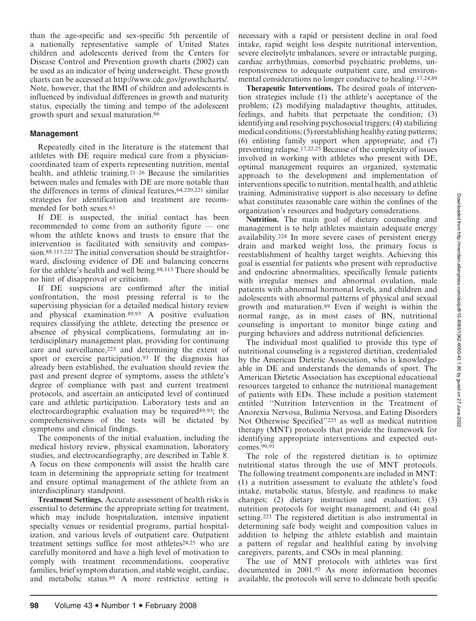than the age-specific and sex-specific 5th percentile of a nationally representative sample of United States children and adolescents derived from the Centers for Disease Control and Prevention growth charts (2002) can be used as an indicator of being underweight. These growth charts can be accessed at http://www.cdc.gov/growthcharts/. Note, however, that the BMI of children and adolescents is influenced by individual differences in growth and maturity status, especially the timing and tempo of the adolescent growth spurt and sexual maturation.86

#### Management

Repeatedly cited in the literature is the statement that athletes with DE require medical care from a physiciancoordinated team of experts representing nutrition, mental health, and athletic training.<sup>21–26</sup> Because the similarities between males and females with DE are more notable than the differences in terms of clinical features,64,220,221 similar strategies for identification and treatment are recommended for both sexes.63

If DE is suspected, the initial contact has been recommended to come from an authority figure — one whom the athlete knows and trusts to ensure that the intervention is facilitated with sensitivity and compassion.88,113,222 The initial conversation should be straightforward, disclosing evidence of DE and balancing concerns for the athlete's health and well being.88,113 There should be no hint of disapproval or criticism.

If DE suspicions are confirmed after the initial confrontation, the most pressing referral is to the supervising physician for a detailed medical history review and physical examination.89,93 A positive evaluation requires classifying the athlete, detecting the presence or absence of physical complications, formulating an interdisciplinary management plan, providing for continuing care and surveillance,223 and determining the extent of sport or exercise participation.<sup>93</sup> If the diagnosis has already been established, the evaluation should review the past and present degree of symptoms, assess the athlete's degree of compliance with past and current treatment protocols, and ascertain an anticipated level of continued care and athletic participation. Laboratory tests and an electrocardiographic evaluation may be required89,93; the comprehensiveness of the tests will be dictated by symptoms and clinical findings.

The components of the initial evaluation, including the medical history review, physical examination, laboratory studies, and electrocardiography, are described in Table 8. A focus on these components will assist the health care team in determining the appropriate setting for treatment and ensure optimal management of the athlete from an interdisciplinary standpoint.

Treatment Settings. Accurate assessment of health risks is essential to determine the appropriate setting for treatment, which may include hospitalization, intensive inpatient specialty venues or residential programs, partial hospitalization, and various levels of outpatient care. Outpatient treatment settings suffice for most athletes<sup>24,25</sup> who are carefully monitored and have a high level of motivation to comply with treatment recommendations, cooperative families, brief symptom duration, and stable weight, cardiac, and metabolic status.89 A more restrictive setting is necessary with a rapid or persistent decline in oral food intake, rapid weight loss despite nutritional intervention, severe electrolyte imbalances, severe or intractable purging, cardiac arrhythmias, comorbid psychiatric problems, unresponsiveness to adequate outpatient care, and environmental considerations no longer conducive to healing.17,24,89

Therapeutic Interventions. The desired goals of intervention strategies include (1) the athlete's acceptance of the problem; (2) modifying maladaptive thoughts, attitudes, feelings, and habits that perpetuate the condition; (3) identifying and resolving psychosocial triggers; (4) stabilizing medical conditions; (5) reestablishing healthy eating patterns; (6) enlisting family support when appropriate; and (7) preventing relapse.17,22,25 Because of the complexity of issues involved in working with athletes who present with DE, optimal management requires an organized, systematic approach to the development and implementation of interventions specific to nutrition, mental health, and athletic training. Administrative support is also necessary to define what constitutes reasonable care within the confines of the organization's resources and budgetary considerations.

Nutrition. The main goal of dietary counseling and management is to help athletes maintain adequate energy availability.224 In more severe cases of persistent energy drain and marked weight loss, the primary focus is reestablishment of healthy target weights. Achieving this goal is essential for patients who present with reproductive and endocrine abnormalities, specifically female patients with irregular menses and abnormal ovulation, male patients with abnormal hormonal levels, and children and adolescents with abnormal patterns of physical and sexual growth and maturation.89 Even if weight is within the normal range, as in most cases of BN, nutritional counseling is important to monitor binge eating and purging behaviors and address nutritional deficiencies.

The individual most qualified to provide this type of nutritional counseling is a registered dietitian, credentialed by the American Dietetic Association, who is knowledgeable in DE and understands the demands of sport. The American Dietetic Association has exceptional educational resources targeted to enhance the nutritional management of patients with EDs. These include a position statement entitled ''Nutrition Intervention in the Treatment of Anorexia Nervosa, Bulimia Nervosa, and Eating Disorders Not Otherwise Specified''225 as well as medical nutrition therapy (MNT) protocols that provide the framework for identifying appropriate interventions and expected outcomes.90,91

The role of the registered dietitian is to optimize nutritional status through the use of MNT protocols. The following treatment components are included in MNT: (1) a nutrition assessment to evaluate the athlete's food intake, metabolic status, lifestyle, and readiness to make changes; (2) dietary instruction and evaluation; (3) nutrition protocols for weight management; and (4) goal setting.223 The registered dietitian is also instrumental in determining safe body weight and composition values in addition to helping the athlete establish and maintain a pattern of regular and healthful eating by involving caregivers, parents, and CSOs in meal planning.

The use of MNT protocols with athletes was first documented in 2001.92 As more information becomes available, the protocols will serve to delineate both specific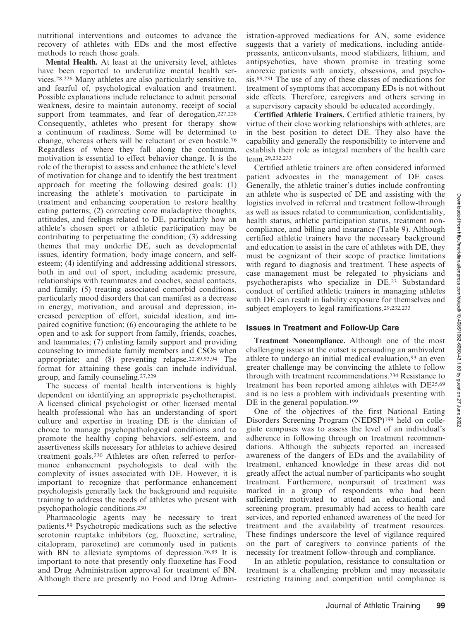nutritional interventions and outcomes to advance the recovery of athletes with EDs and the most effective methods to reach those goals.

Mental Health. At least at the university level, athletes have been reported to underutilize mental health services.28,226 Many athletes are also particularly sensitive to, and fearful of, psychological evaluation and treatment. Possible explanations include reluctance to admit personal weakness, desire to maintain autonomy, receipt of social support from teammates, and fear of derogation.<sup>227,228</sup> Consequently, athletes who present for therapy show a continuum of readiness. Some will be determined to change, whereas others will be reluctant or even hostile.76 Regardless of where they fall along the continuum, motivation is essential to effect behavior change. It is the role of the therapist to assess and enhance the athlete's level of motivation for change and to identify the best treatment approach for meeting the following desired goals: (1) increasing the athlete's motivation to participate in treatment and enhancing cooperation to restore healthy eating patterns; (2) correcting core maladaptive thoughts, attitudes, and feelings related to DE, particularly how an athlete's chosen sport or athletic participation may be contributing to perpetuating the condition; (3) addressing themes that may underlie DE, such as developmental issues, identity formation, body image concern, and selfesteem; (4) identifying and addressing additional stressors, both in and out of sport, including academic pressure, relationships with teammates and coaches, social contacts, and family; (5) treating associated comorbid conditions, particularly mood disorders that can manifest as a decrease in energy, motivation, and arousal and depression, increased perception of effort, suicidal ideation, and impaired cognitive function; (6) encouraging the athlete to be open and to ask for support from family, friends, coaches, and teammates; (7) enlisting family support and providing counseling to immediate family members and CSOs when appropriate; and (8) preventing relapse.22,89,93,94 The format for attaining these goals can include individual, group, and family counseling.27,229

The success of mental health interventions is highly dependent on identifying an appropriate psychotherapist. A licensed clinical psychologist or other licensed mental health professional who has an understanding of sport culture and expertise in treating DE is the clinician of choice to manage psychopathological conditions and to promote the healthy coping behaviors, self-esteem, and assertiveness skills necessary for athletes to achieve desired treatment goals.230 Athletes are often referred to performance enhancement psychologists to deal with the complexity of issues associated with DE. However, it is important to recognize that performance enhancement psychologists generally lack the background and requisite training to address the needs of athletes who present with psychopathologic conditions.230

Pharmacologic agents may be necessary to treat patients.89 Psychotropic medications such as the selective serotonin reuptake inhibitors (eg, fluoxetine, sertraline, citalopram, paroxetine) are commonly used in patients with BN to alleviate symptoms of depression.76,89 It is important to note that presently only fluoxetine has Food and Drug Administration approval for treatment of BN. Although there are presently no Food and Drug Administration-approved medications for AN, some evidence suggests that a variety of medications, including antidepressants, anticonvulsants, mood stabilizers, lithium, and antipsychotics, have shown promise in treating some anorexic patients with anxiety, obsessions, and psychosis.89,231 The use of any of these classes of medications for treatment of symptoms that accompany EDs is not without side effects. Therefore, caregivers and others serving in a supervisory capacity should be educated accordingly.

Certified Athletic Trainers. Certified athletic trainers, by virtue of their close working relationships with athletes, are in the best position to detect DE. They also have the capability and generally the responsibility to intervene and establish their role as integral members of the health care team.29,232,233

Certified athletic trainers are often considered informed patient advocates in the management of DE cases. Generally, the athletic trainer's duties include confronting an athlete who is suspected of DE and assisting with the logistics involved in referral and treatment follow-through as well as issues related to communication, confidentiality, health status, athletic participation status, treatment noncompliance, and billing and insurance (Table 9). Although certified athletic trainers have the necessary background and education to assist in the care of athletes with DE, they must be cognizant of their scope of practice limitations with regard to diagnosis and treatment. These aspects of case management must be relegated to physicians and psychotherapists who specialize in DE.23 Substandard conduct of certified athletic trainers in managing athletes with DE can result in liability exposure for themselves and subject employers to legal ramifications.29,232,233

# Issues in Treatment and Follow-Up Care

Treatment Noncompliance. Although one of the most challenging issues at the outset is persuading an ambivalent athlete to undergo an initial medical evaluation,93 an even greater challenge may be convincing the athlete to follow through with treatment recommendations.234 Resistance to treatment has been reported among athletes with DE25,69 and is no less a problem with individuals presenting with DE in the general population.<sup>199</sup>

One of the objectives of the first National Eating Disorders Screening Program (NEDSP)199 held on collegiate campuses was to assess the level of an individual's adherence in following through on treatment recommendations. Although the subjects reported an increased awareness of the dangers of EDs and the availability of treatment, enhanced knowledge in these areas did not greatly affect the actual number of participants who sought treatment. Furthermore, nonpursuit of treatment was marked in a group of respondents who had been sufficiently motivated to attend an educational and screening program, presumably had access to health care services, and reported enhanced awareness of the need for treatment and the availability of treatment resources. These findings underscore the level of vigilance required on the part of caregivers to convince patients of the necessity for treatment follow-through and compliance.

In an athletic population, resistance to consultation or treatment is a challenging problem and may necessitate restricting training and competition until compliance is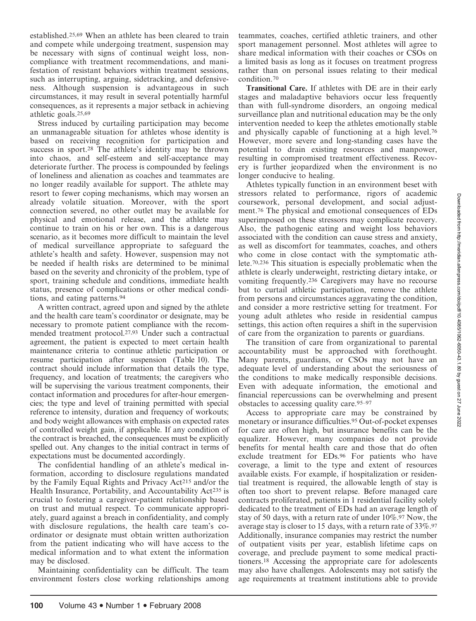established.25,69 When an athlete has been cleared to train and compete while undergoing treatment, suspension may be necessary with signs of continual weight loss, noncompliance with treatment recommendations, and manifestation of resistant behaviors within treatment sessions, such as interrupting, arguing, sidetracking, and defensiveness. Although suspension is advantageous in such circumstances, it may result in several potentially harmful consequences, as it represents a major setback in achieving athletic goals.25,69

Stress induced by curtailing participation may become an unmanageable situation for athletes whose identity is based on receiving recognition for participation and success in sport.28 The athlete's identity may be thrown into chaos, and self-esteem and self-acceptance may deteriorate further. The process is compounded by feelings of loneliness and alienation as coaches and teammates are no longer readily available for support. The athlete may resort to fewer coping mechanisms, which may worsen an already volatile situation. Moreover, with the sport connection severed, no other outlet may be available for physical and emotional release, and the athlete may continue to train on his or her own. This is a dangerous scenario, as it becomes more difficult to maintain the level of medical surveillance appropriate to safeguard the athlete's health and safety. However, suspension may not be needed if health risks are determined to be minimal based on the severity and chronicity of the problem, type of sport, training schedule and conditions, immediate health status, presence of complications or other medical conditions, and eating patterns.94

A written contract, agreed upon and signed by the athlete and the health care team's coordinator or designate, may be necessary to promote patient compliance with the recommended treatment protocol.27,93 Under such a contractual agreement, the patient is expected to meet certain health maintenance criteria to continue athletic participation or resume participation after suspension (Table 10). The contract should include information that details the type, frequency, and location of treatments; the caregivers who will be supervising the various treatment components, their contact information and procedures for after-hour emergencies; the type and level of training permitted with special reference to intensity, duration and frequency of workouts; and body weight allowances with emphasis on expected rates of controlled weight gain, if applicable. If any condition of the contract is breached, the consequences must be explicitly spelled out. Any changes to the initial contract in terms of expectations must be documented accordingly.

The confidential handling of an athlete's medical information, according to disclosure regulations mandated by the Family Equal Rights and Privacy Act215 and/or the Health Insurance, Portability, and Accountability Act<sup>235</sup> is crucial to fostering a caregiver-patient relationship based on trust and mutual respect. To communicate appropriately, guard against a breach in confidentiality, and comply with disclosure regulations, the health care team's coordinator or designate must obtain written authorization from the patient indicating who will have access to the medical information and to what extent the information may be disclosed.

Maintaining confidentiality can be difficult. The team environment fosters close working relationships among teammates, coaches, certified athletic trainers, and other sport management personnel. Most athletes will agree to share medical information with their coaches or CSOs on a limited basis as long as it focuses on treatment progress rather than on personal issues relating to their medical condition.70

Transitional Care. If athletes with DE are in their early stages and maladaptive behaviors occur less frequently than with full-syndrome disorders, an ongoing medical surveillance plan and nutritional education may be the only intervention needed to keep the athletes emotionally stable and physically capable of functioning at a high level.76 However, more severe and long-standing cases have the potential to drain existing resources and manpower, resulting in compromised treatment effectiveness. Recovery is further jeopardized when the environment is no longer conducive to healing.

Athletes typically function in an environment beset with stressors related to performance, rigors of academic coursework, personal development, and social adjustment.76 The physical and emotional consequences of EDs superimposed on these stressors may complicate recovery. Also, the pathogenic eating and weight loss behaviors associated with the condition can cause stress and anxiety, as well as discomfort for teammates, coaches, and others who come in close contact with the symptomatic athlete.70,236 This situation is especially problematic when the athlete is clearly underweight, restricting dietary intake, or vomiting frequently.236 Caregivers may have no recourse but to curtail athletic participation, remove the athlete from persons and circumstances aggravating the condition, and consider a more restrictive setting for treatment. For young adult athletes who reside in residential campus settings, this action often requires a shift in the supervision of care from the organization to parents or guardians.

The transition of care from organizational to parental accountability must be approached with forethought. Many parents, guardians, or CSOs may not have an adequate level of understanding about the seriousness of the conditions to make medically responsible decisions. Even with adequate information, the emotional and financial repercussions can be overwhelming and present obstacles to accessing quality care.95–97

Access to appropriate care may be constrained by monetary or insurance difficulties.95 Out-of-pocket expenses for care are often high, but insurance benefits can be the equalizer. However, many companies do not provide benefits for mental health care and those that do often exclude treatment for EDs.96 For patients who have coverage, a limit to the type and extent of resources available exists. For example, if hospitalization or residential treatment is required, the allowable length of stay is often too short to prevent relapse. Before managed care contracts proliferated, patients in 1 residential facility solely dedicated to the treatment of EDs had an average length of stay of 50 days, with a return rate of under 10%.97 Now, the average stay is closer to 15 days, with a return rate of 33%.97 Additionally, insurance companies may restrict the number of outpatient visits per year, establish lifetime caps on coverage, and preclude payment to some medical practitioners.18 Accessing the appropriate care for adolescents may also have challenges. Adolescents may not satisfy the age requirements at treatment institutions able to provide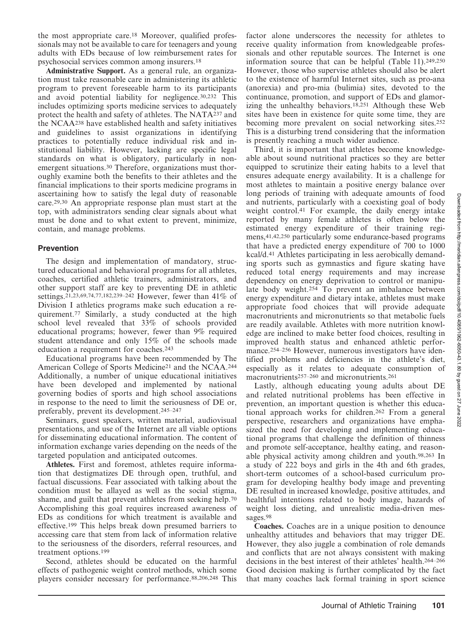the most appropriate care.18 Moreover, qualified professionals may not be available to care for teenagers and young adults with EDs because of low reimbursement rates for psychosocial services common among insurers.18

Administrative Support. As a general rule, an organization must take reasonable care in administering its athletic program to prevent foreseeable harm to its participants and avoid potential liability for negligence.30,232 This includes optimizing sports medicine services to adequately protect the health and safety of athletes. The NATA237 and the NCAA238 have established health and safety initiatives and guidelines to assist organizations in identifying practices to potentially reduce individual risk and institutional liability. However, lacking are specific legal standards on what is obligatory, particularly in nonemergent situations.30 Therefore, organizations must thoroughly examine both the benefits to their athletes and the financial implications to their sports medicine programs in ascertaining how to satisfy the legal duty of reasonable care.29,30 An appropriate response plan must start at the top, with administrators sending clear signals about what must be done and to what extent to prevent, minimize, contain, and manage problems.

#### Prevention

The design and implementation of mandatory, structured educational and behavioral programs for all athletes, coaches, certified athletic trainers, administrators, and other support staff are key to preventing DE in athletic settings.21,23,69,74,77,182,239–242 However, fewer than 41% of Division I athletics programs make such education a requirement.77 Similarly, a study conducted at the high school level revealed that 33% of schools provided educational programs; however, fewer than 9% required student attendance and only 15% of the schools made education a requirement for coaches.243

Educational programs have been recommended by The American College of Sports Medicine21 and the NCAA.244 Additionally, a number of unique educational initiatives have been developed and implemented by national governing bodies of sports and high school associations in response to the need to limit the seriousness of DE or, preferably, prevent its development.245–247

Seminars, guest speakers, written material, audiovisual presentations, and use of the Internet are all viable options for disseminating educational information. The content of information exchange varies depending on the needs of the targeted population and anticipated outcomes.

Athletes. First and foremost, athletes require information that destigmatizes DE through open, truthful, and factual discussions. Fear associated with talking about the condition must be allayed as well as the social stigma, shame, and guilt that prevent athletes from seeking help.70 Accomplishing this goal requires increased awareness of EDs as conditions for which treatment is available and effective.199 This helps break down presumed barriers to accessing care that stem from lack of information relative to the seriousness of the disorders, referral resources, and treatment options.199

Second, athletes should be educated on the harmful effects of pathogenic weight control methods, which some players consider necessary for performance.88,206,248 This factor alone underscores the necessity for athletes to receive quality information from knowledgeable professionals and other reputable sources. The Internet is one information source that can be helpful (Table 11).249,250 However, those who supervise athletes should also be alert to the existence of harmful Internet sites, such as pro-ana (anorexia) and pro-mia (bulimia) sites, devoted to the continuance, promotion, and support of EDs and glamorizing the unhealthy behaviors.18,251 Although these Web sites have been in existence for quite some time, they are becoming more prevalent on social networking sites.252 This is a disturbing trend considering that the information is presently reaching a much wider audience.

Third, it is important that athletes become knowledgeable about sound nutritional practices so they are better equipped to scrutinize their eating habits to a level that ensures adequate energy availability. It is a challenge for most athletes to maintain a positive energy balance over long periods of training with adequate amounts of food and nutrients, particularly with a coexisting goal of body weight control.41 For example, the daily energy intake reported by many female athletes is often below the estimated energy expenditure of their training regimens,41,42,250 particularly some endurance-based programs that have a predicted energy expenditure of 700 to 1000 kcal/d.41 Athletes participating in less aerobically demanding sports such as gymnastics and figure skating have reduced total energy requirements and may increase dependency on energy deprivation to control or manipulate body weight.254 To prevent an imbalance between energy expenditure and dietary intake, athletes must make appropriate food choices that will provide adequate macronutrients and micronutrients so that metabolic fuels are readily available. Athletes with more nutrition knowledge are inclined to make better food choices, resulting in improved health status and enhanced athletic performance.254–256 However, numerous investigators have identified problems and deficiencies in the athlete's diet, especially as it relates to adequate consumption of macronutrients257–260 and micronutrients.261

Lastly, although educating young adults about DE and related nutritional problems has been effective in prevention, an important question is whether this educational approach works for children.262 From a general perspective, researchers and organizations have emphasized the need for developing and implementing educational programs that challenge the definition of thinness and promote self-acceptance, healthy eating, and reasonable physical activity among children and youth.98,263 In a study of 222 boys and girls in the 4th and 6th grades, short-term outcomes of a school-based curriculum program for developing healthy body image and preventing DE resulted in increased knowledge, positive attitudes, and healthful intentions related to body image, hazards of weight loss dieting, and unrealistic media-driven messages.98

Coaches. Coaches are in a unique position to denounce unhealthy attitudes and behaviors that may trigger DE. However, they also juggle a combination of role demands and conflicts that are not always consistent with making decisions in the best interest of their athletes' health.264–266 Good decision making is further complicated by the fact that many coaches lack formal training in sport science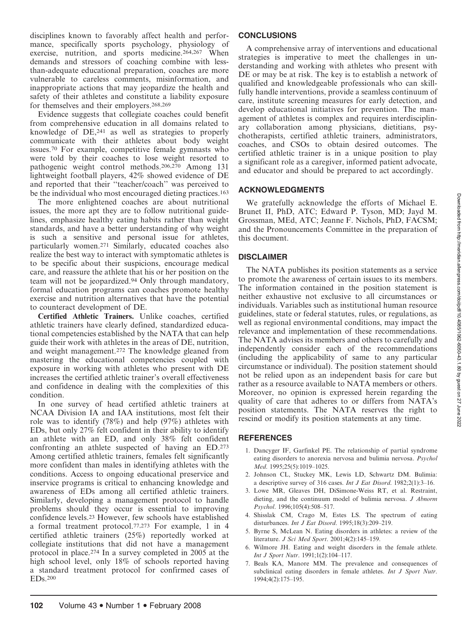disciplines known to favorably affect health and performance, specifically sports psychology, physiology of exercise, nutrition, and sports medicine.264,267 When demands and stressors of coaching combine with lessthan-adequate educational preparation, coaches are more vulnerable to careless comments, misinformation, and inappropriate actions that may jeopardize the health and safety of their athletes and constitute a liability exposure for themselves and their employers.268,269

Evidence suggests that collegiate coaches could benefit from comprehensive education in all domains related to knowledge of DE,241 as well as strategies to properly communicate with their athletes about body weight issues.70 For example, competitive female gymnasts who were told by their coaches to lose weight resorted to pathogenic weight control methods.206,270 Among 131 lightweight football players, 42% showed evidence of DE and reported that their ''teacher/coach'' was perceived to be the individual who most encouraged dieting practices.163

The more enlightened coaches are about nutritional issues, the more apt they are to follow nutritional guidelines, emphasize healthy eating habits rather than weight standards, and have a better understanding of why weight is such a sensitive and personal issue for athletes, particularly women.271 Similarly, educated coaches also realize the best way to interact with symptomatic athletes is to be specific about their suspicions, encourage medical care, and reassure the athlete that his or her position on the team will not be jeopardized.94 Only through mandatory, formal education programs can coaches promote healthy exercise and nutrition alternatives that have the potential to counteract development of DE.

Certified Athletic Trainers. Unlike coaches, certified athletic trainers have clearly defined, standardized educational competencies established by the NATA that can help guide their work with athletes in the areas of DE, nutrition, and weight management.272 The knowledge gleaned from mastering the educational competencies coupled with exposure in working with athletes who present with DE increases the certified athletic trainer's overall effectiveness and confidence in dealing with the complexities of this condition.

In one survey of head certified athletic trainers at NCAA Division IA and IAA institutions, most felt their role was to identify (78%) and help (97%) athletes with EDs, but only 27% felt confident in their ability to identify an athlete with an ED, and only 38% felt confident confronting an athlete suspected of having an ED.273 Among certified athletic trainers, females felt significantly more confident than males in identifying athletes with the conditions. Access to ongoing educational preservice and inservice programs is critical to enhancing knowledge and awareness of EDs among all certified athletic trainers. Similarly, developing a management protocol to handle problems should they occur is essential to improving confidence levels.23 However, few schools have established a formal treatment protocol.77,273 For example, 1 in 4 certified athletic trainers (25%) reportedly worked at collegiate institutions that did not have a management protocol in place.274 In a survey completed in 2005 at the high school level, only 18% of schools reported having a standard treatment protocol for confirmed cases of EDs.200

# **CONCLUSIONS**

A comprehensive array of interventions and educational strategies is imperative to meet the challenges in understanding and working with athletes who present with DE or may be at risk. The key is to establish a network of qualified and knowledgeable professionals who can skillfully handle interventions, provide a seamless continuum of care, institute screening measures for early detection, and develop educational initiatives for prevention. The management of athletes is complex and requires interdisciplinary collaboration among physicians, dietitians, psychotherapists, certified athletic trainers, administrators, coaches, and CSOs to obtain desired outcomes. The certified athletic trainer is in a unique position to play a significant role as a caregiver, informed patient advocate, and educator and should be prepared to act accordingly.

# ACKNOWLEDGMENTS

We gratefully acknowledge the efforts of Michael E. Brunet II, PhD, ATC; Edward P. Tyson, MD; Jayd M. Grossman, MEd, ATC; Jeanne F. Nichols, PhD, FACSM; and the Pronouncements Committee in the preparation of this document.

# DISCLAIMER

The NATA publishes its position statements as a service to promote the awareness of certain issues to its members. The information contained in the position statement is neither exhaustive not exclusive to all circumstances or individuals. Variables such as institutional human resource guidelines, state or federal statutes, rules, or regulations, as well as regional environmental conditions, may impact the relevance and implementation of these recommendations. The NATA advises its members and others to carefully and independently consider each of the recommendations (including the applicability of same to any particular circumstance or individual). The position statement should not be relied upon as an independent basis for care but rather as a resource available to NATA members or others. Moreover, no opinion is expressed herein regarding the quality of care that adheres to or differs from NATA's position statements. The NATA reserves the right to rescind or modify its position statements at any time.

# REFERENCES

- 1. Dancyger IF, Garfinkel PE. The relationship of partial syndrome eating disorders to anorexia nervosa and bulimia nervosa. Psychol Med. 1995;25(5):1019–1025.
- 2. Johnson CL, Stuckey MK, Lewis LD, Schwartz DM. Bulimia: a descriptive survey of 316 cases. Int J Eat Disord. 1982;2(1):3–16.
- 3. Lowe MR, Gleaves DH, DiSimone-Weiss RT, et al. Restraint, dieting, and the continuum model of bulimia nervosa. J Abnorm Psychol. 1996;105(4):508–517.
- 4. Shisslak CM, Crago M, Estes LS. The spectrum of eating disturbances. Int J Eat Disord. 1995;18(3):209–219.
- 5. Byrne S, McLean N. Eating disorders in athletes: a review of the literature. J Sci Med Sport. 2001;4(2):145–159.
- 6. Wilmore JH. Eating and weight disorders in the female athlete. Int J Sport Nutr. 1991;1(2):104–117.
- 7. Beals KA, Manore MM. The prevalence and consequences of subclinical eating disorders in female athletes. Int J Sport Nutr. 1994;4(2):175–195.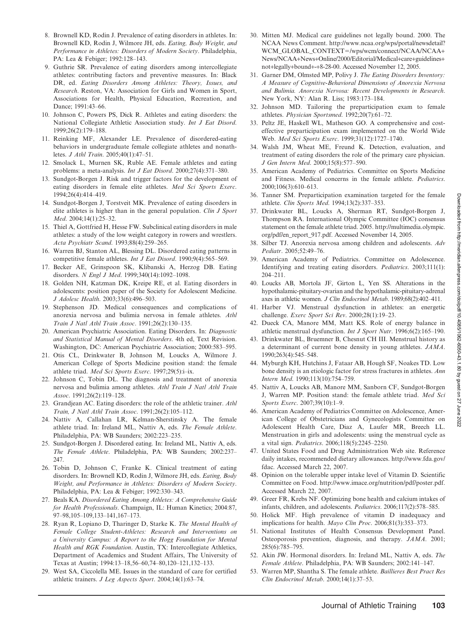- 8. Brownell KD, Rodin J. Prevalence of eating disorders in athletes. In: Brownell KD, Rodin J, Wilmore JH, eds. Eating, Body Weight, and Performance in Athletes: Disorders of Modern Society. Philadelphia, PA: Lea & Febiger; 1992:128–143. 9. Guthrie SR. Prevalence of eating disorders among intercollegiate
- athletes: contributing factors and preventive measures. In: Black DR, ed. Eating Disorders Among Athletes: Theory, Issues, and Research. Reston, VA: Association for Girls and Women in Sport, Associations for Health, Physical Education, Recreation, and Dance; 1991:43–66.
- 10. Johnson C, Powers PS, Dick R. Athletes and eating disorders: the National Collegiate Athletic Association study. Int J Eat Disord. 1999;26(2):179–188.
- 11. Reinking MF, Alexander LE. Prevalence of disordered-eating behaviors in undergraduate female collegiate athletes and nonathletes. J Athl Train. 2005;40(1):47–51.
- 12. Smolack L, Murnen SK, Ruble AE. Female athletes and eating problems: a meta-analysis. Int J Eat Disord. 2000;27(4):371–380.
- 13. Sundgot-Borgen J. Risk and trigger factors for the development of eating disorders in female elite athletes. Med Sci Sports Exerc. 1994;26(4):414–419.
- 14. Sundgot-Borgen J, Torstveit MK. Prevalence of eating disorders in elite athletes is higher than in the general population. Clin J Sport Med. 2004;14(1):25–32.
- 15. Thiel A, Gottfried H, Hesse FW. Subclinical eating disorders in male athletes: a study of the low weight category in rowers and wrestlers. Acta Psychiatr Scand. 1993;88(4):259–265.
- 16. Warren BJ, Stanton AL, Blessing DL. Disordered eating patterns in competitive female athletes. Int J Eat Disord. 1990;9(4):565-569.
- 17. Becker AE, Grinspoon SK, Klibanski A, Herzog DB. Eating disorders. N Engl J Med. 1999;340(14):1092–1098.
- 18. Golden NH, Katzman DK, Kreipe RE, et al. Eating disorders in adolescents: position paper of the Society for Adolescent Medicine. J Adolesc Health. 2003;33(6):496–503.
- 19. Stephenson JD. Medical consequences and complications of anorexia nervosa and bulimia nervosa in female athletes. Athl Train J Natl Athl Train Assoc. 1991;26(2):130–135.
- 20. American Psychiatric Association. Eating Disorders. In: Diagnostic and Statistical Manual of Mental Disorders. 4th ed, Text Revision. Washington, DC: American Psychiatric Association; 2000:583–595.
- 21. Otis CL, Drinkwater B, Johnson M, Loucks A, Wilmore J. American College of Sports Medicine position stand: the female athlete triad. Med Sci Sports Exerc. 1997;29(5):i–ix.
- 22. Johnson C, Tobin DL. The diagnosis and treatment of anorexia nervosa and bulimia among athletes. Athl Train J Natl Athl Train Assoc. 1991;26(2):119–128.
- 23. Grandjean AC. Eating disorders: the role of the athletic trainer. Athl Train, J Natl Athl Train Assoc. 1991;26(2):105–112.
- 24. Nattiv A, Callahan LR, Kelman-Sherstinsky A. The female athlete triad. In: Ireland ML, Nattiv A, eds. The Female Athlete. Philadelphia, PA: WB Saunders; 2002:223–235.
- 25. Sundgot-Borgen J. Disordered eating. In: Ireland ML, Nattiv A, eds. The Female Athlete. Philadelphia, PA: WB Saunders; 2002:237-247.
- 26. Tobin D, Johnson C, Franke K. Clinical treatment of eating disorders. In: Brownell KD, Rodin J, Wilmore JH, eds. Eating, Body Weight, and Performance in Athletes: Disorders of Modern Society. Philadelphia, PA: Lea & Febiger; 1992:330–343.
- 27. Beals KA. Disordered Eating Among Athletes: A Comprehensive Guide for Health Professionals. Champaign, IL: Human Kinetics; 2004:87, 97–98,105–109,133–141,167–173.
- 28. Ryan R, Lopiano D, Tharinger D, Starke K. The Mental Health of Female College Student-Athletes: Research and Interventions on a University Campus: A Report to the Hogg Foundation for Mental Health and RGK Foundation. Austin, TX: Intercollegiate Athletics, Department of Academics and Student Affairs, The University of Texas at Austin; 1994:13–18,56–60,74–80,120–121,132–133.
- 29. West SA, Ciccolella ME. Issues in the standard of care for certified athletic trainers. J Leg Aspects Sport. 2004;14(1):63–74.
- 30. Mitten MJ. Medical care guidelines not legally bound. 2000. The NCAA News Comment. http://www.ncaa.org/wps/portal/newsdetail? WCM\_GLOBAL\_CONTEXT=/wps/wcm/connect/NCAA/NCAA+ News/NCAA+News+Online/2000/Editorial/Medical+care+guidelines+ not+legally+bound+-+8-28-00. Accessed November 12, 2005.
- 31. Garner DM, Olmsted MP, Polivy J. The Eating Disorders Inventory: A Measure of Cognitive-Behavioral Dimensions of Anorexia Nervosa and Bulimia. Anorexia Nervosa: Recent Developments in Research. New York, NY: Alan R. Liss; 1983:173–184.
- 32. Johnson MD. Tailoring the preparticipation exam to female athletes. Physician Sportsmed. 1992;20(7):61–72.
- 33. Peltz JE, Haskell WL, Matheson GO. A comprehensive and costeffective preparticipation exam implemented on the World Wide Web. Med Sci Sports Exerc. 1999;31(12):1727–1740.
- 34. Walsh JM, Wheat ME, Freund K. Detection, evaluation, and treatment of eating disorders the role of the primary care physician. J Gen Intern Med. 2000;15(8):577–590.
- 35. American Academy of Pediatrics. Committee on Sports Medicine and Fitness. Medical concerns in the female athlete. Pediatrics. 2000;106(3):610–613.
- 36. Tanner SM. Preparticipation examination targeted for the female athlete. Clin Sports Med. 1994;13(2):337–353.
- 37. Drinkwater BL, Loucks A, Sherman RT, Sundgot-Borgen J, Thompson RA. International Olympic Committee (IOC) consensus statement on the female athlete triad. 2005. http://multimedia.olympic. org/pdf/en\_report\_917.pdf. Accessed November 14, 2005.
- 38. Silber TJ. Anorexia nervosa among children and adolescents. Adv Pediatr. 2005;52:49–76.
- 39. American Academy of Pediatrics. Committee on Adolescence. Identifying and treating eating disorders. Pediatrics. 2003;111(1): 204–211.
- 40. Loucks AB, Mortola JF, Girton L, Yen SS. Alterations in the hypothalamic-pituitary-ovarian and the hypothalamic-pituitary-adrenal axes in athletic women. J Clin Endocrinol Metab. 1989;68(2):402–411.
- 41. Harber VJ. Menstrual dysfunction in athletes: an energetic challenge. Exerc Sport Sci Rev. 2000;28(1):19-23.
- 42. Dueck CA, Manore MM, Matt KS. Role of energy balance in athletic menstrual dysfunction. Int J Sport Nutr. 1996;6(2):165–190.
- 43. Drinkwater BL, Bruemner B, Chesnut CH III. Menstrual history as a determinant of current bone density in young athletes. JAMA. 1990;263(4):545–548.
- 44. Myburgh KH, Hutchins J, Fataar AB, Hough SF, Noakes TD. Low bone density is an etiologic factor for stress fractures in athletes. Ann Intern Med. 1990;113(10):754–759.
- 45. Nattiv A, Loucks AB, Manore MM, Sanborn CF, Sundgot-Borgen J, Warren MP. Position stand: the female athlete triad. Med Sci Sports Exerc. 2007;39(10):1–9.
- 46. American Academy of Pediatrics Committee on Adolescence, American College of Obstetricians and Gynecologists Committee on Adolescent Health Care, Diaz A, Laufer MR, Breech LL. Menstruation in girls and adolescents: using the menstrual cycle as a vital sign. Pediatrics. 2006;118(5):2245–2250.
- 47. United States Food and Drug Administration Web site. Reference daily intakes, recommended dietary allowances. http://www.fda.gov/ fdac. Accessed March 22, 2007.
- 48. Opinion on the tolerable upper intake level of Vitamin D. Scientific Committee on Food. http://www.imace.org/nutrition/pdf/poster.pdf. Accessed March 22, 2007.
- 49. Greer FR, Krebs NF. Optimizing bone health and calcium intakes of infants, children, and adolescents. Pediatrics. 2006;117(2):578–585.
- 50. Holick MF. High prevalence of vitamin D inadequacy and implications for health. Mayo Clin Proc. 2006;81(3):353–373.
- 51. National Institutes of Health Consensus Development Panel. Osteoporosis prevention, diagnosis, and therapy. JAMA. 2001; 285(6):785–795.
- 52. Akin JW. Hormonal disorders. In: Ireland ML, Nattiv A, eds. The Female Athlete. Philadelphia, PA: WB Saunders; 2002:141–147.
- 53. Warren MP, Shantha S. The female athlete. Baillieres Best Pract Res Clin Endocrinol Metab. 2000;14(1):37–53.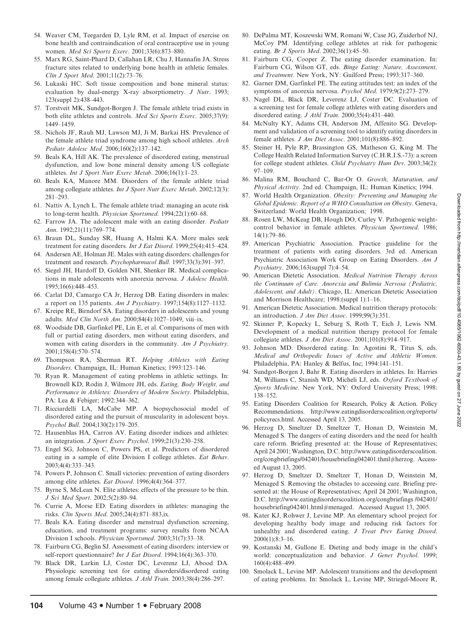- 54. Weaver CM, Teegarden D, Lyle RM, et al. Impact of exercise on bone health and contraindication of oral contraceptive use in young women. Med Sci Sports Exerc. 2001;33(6):873–880. 55. Marx RG, Saint-Phard D, Callahan LR, Chu J, Hannafin JA. Stress
- fracture sites related to underlying bone health in athletic females. Clin J Sport Med. 2001;11(2):73–76. 56. Lukaski HC. Soft tissue composition and bone mineral status:
- evaluation by dual-energy X-ray absorptiometry. J Nutr. 1993; 123(suppl 2):438–443.
- 57. Torstveit MK, Sundgot-Borgen J. The female athlete triad exists in both elite athletes and controls. Med Sci Sports Exerc. 2005;37(9): 1449–1459.
- 58. Nichols JF, Rauh MJ, Lawson MJ, Ji M, Barkai HS. Prevalence of the female athlete triad syndrome among high school athletes. Arch Pediatr Adolesc Med. 2006;160(2):137–142.
- 59. Beals KA, Hill AK. The prevalence of disordered eating, menstrual dysfunction, and low bone mineral density among US collegiate athletes. Int J Sport Nutr Exerc Metab. 2006;16(1):1–23.
- 60. Beals KA, Manore MM. Disorders of the female athlete triad among collegiate athletes. Int J Sport Nutr Exerc Metab. 2002;12(3): 281–293.
- 61. Nattiv A, Lynch L. The female athlete triad: managing an acute risk to long-term health. Physician Sportsmed. 1994;22(1):60–68.
- 62. Farrow JA. The adolescent male with an eating disorder. Pediatr Ann. 1992;21(11):769–774.
- 63. Braun DL, Sunday SR, Huang A, Halmi KA. More males seek treatment for eating disorders. Int J Eat Disord. 1999;25(4):415-424.
- 64. Andersen AE, Holman JE. Males with eating disorders: challenges for treatment and research. Psychopharmacol Bull. 1997;33(3):391–397.
- 65. Siegel JH, Hardoff D, Golden NH, Shenker IR. Medical complications in male adolescents with anorexia nervosa. J Adolesc Health. 1995;16(6):448–453.
- 66. Carlat DJ, Camargo CA Jr, Herzog DB. Eating disorders in males: a report on 135 patients. Am J Psychiatry. 1997;154(8):1127–1132.
- 67. Kreipe RE, Birndorf SA. Eating disorders in adolescents and young adults. Med Clin North Am. 2000;84(4):1027–1049, viii–ix.
- 68. Woodside DB, Garfinkel PE, Lin E, et al. Comparisons of men with full or partial eating disorders, men without eating disorders, and women with eating disorders in the community. Am J Psychiatry. 2001;158(4):570–574.
- 69. Thompson RA, Sherman RT. Helping Athletes with Eating Disorders. Champaign, IL: Human Kinetics; 1993:123–146.
- 70. Ryan R. Management of eating problems in athletic settings. In: Brownell KD, Rodin J, Wilmore JH, eds. Eating, Body Weight, and Performance in Athletes: Disorders of Modern Society. Philadelphia, PA: Lea & Febiger; 1992:344–362.
- 71. Ricciardelli LA, McCabe MP. A biopsychosocial model of disordered eating and the pursuit of muscularity in adolescent boys. Psychol Bull. 2004;130(2):179–205.
- 72. Hausenblas HA, Carron AV. Eating disorder indices and athletes: an integration. J Sport Exerc Psychol. 1999;21(3):230–258.
- 73. Engel SG, Johnson C, Powers PS, et al. Predictors of disordered eating in a sample of elite Division I college athletes. Eat Behav. 2003;4(4):333–343.
- 74. Powers P, Johnson C. Small victories: prevention of eating disorders among elite athletes. Eat Disord. 1996;4(4):364–377.
- 75. Byrne S, McLean N. Elite athletes: effects of the pressure to be thin. J Sci Med Sport. 2002;5(2):80–94.
- 76. Currie A, Morse ED. Eating disorders in athletes: managing the risks. Clin Sports Med. 2005;24(4):871–883,ix.
- 77. Beals KA. Eating disorder and menstrual dysfunction screening, education, and treatment programs: survey results from NCAA Division I schools. Physician Sportsmed. 2003;31(7):33–38.
- 78. Fairburn CG, Beglin SJ. Assessment of eating disorders: interview or self-report questionnaire? Int J Eat Disord. 1994;16(4):363-370.
- 79. Black DR, Larkin LJ, Coster DC, Leverenz LJ, Abood DA. Physiologic screening test for eating disorders/disordered eating among female collegiate athletes. J Athl Train. 2003;38(4):286–297.
- 80. DePalma MT, Koszewski WM, Romani W, Case JG, Zuiderhof NJ, McCoy PM. Identifying college athletes at risk for pathogenic eating. *Br J Sports Med.* 2002;36(1):45-50.
- 81. Fairburn CG, Cooper Z. The eating disorder examination. In: Fairburn CG, Wilson GT, eds. Binge Eating: Nature, Assessment, and Treatment. New York, NY: Guilford Press; 1993:317–360.
- 82. Garner DM, Garfinkel PE. The eating attitudes test: an index of the symptoms of anorexia nervosa. Psychol Med. 1979;9(2):273–279.
- 83. Nagel DL, Black DR, Leverenz LJ, Coster DC. Evaluation of a screening test for female college athletes with eating disorders and disordered eating. J Athl Train. 2000;35(4):431–440.
- 84. McNulty KY, Adams CH, Anderson JM, Affenito SG. Development and validation of a screening tool to identify eating disorders in female athletes. J Am Diet Assoc. 2001;101(8):886–892.
- 85. Steiner H, Pyle RP, Brassington GS, Matheson G, King M. The College Health Related Information Survey (C.H.R.I.S.-73): a screen for college student athletes. Child Psychiatry Hum Dev. 2003;34(2): 97–109.
- 86. Malina RM, Bouchard C, Bar-Or O. Growth, Maturation, and Physical Activity. 2nd ed. Champaign, IL: Human Kinetics; 1994.
- 87. World Health Organization. Obesity: Preventing and Managing the Global Epidemic. Report of a WHO Consultation on Obesity. Geneva, Switzerland: World Health Organization; 1998.
- 88. Rosen LW, McKeag DB, Hough DO, Curley V. Pathogenic weightcontrol behavior in female athletes. Physician Sportsmed. 1986; 14(1):79–86.
- 89. American Psychiatric Association. Practice guideline for the treatment of patients with eating disorders. 3rd ed. American Psychiatric Association Work Group on Eating Disorders. Am J Psychiatry. 2006;163(suppl 7):4–54.
- 90. American Dietetic Association. Medical Nutrition Therapy Across the Continuum of Care. Anorexia and Bulimia Nervosa (Pediatric, Adolescent, and Adult). Chicago, IL: American Dietetic Association and Morrison Healthcare; 1998:(suppl 1):1–16.
- 91. American Dietetic Association. Medical nutrition therapy protocols: an introduction. J Am Diet Assoc. 1999;99(3):351.
- 92. Skinner P, Kopecky L, Seburg S, Roth T, Eich J, Lewis NM. Development of a medical nutrition therapy protocol for female collegiate athletes. J Am Diet Assoc. 2001;101(8):914–917.
- 93. Johnson MD. Disordered eating. In: Agostini R, Titus S, eds. Medical and Orthopedic Issues of Active and Athletic Women. Philadelphia, PA: Hanley & Belfus, Inc; 1994:141–151.
- 94. Sundgot-Borgen J, Bahr R. Eating disorders in athletes. In: Harries M, Williams C, Stanish WD, Micheli LJ, eds. Oxford Textbook of Sports Medicine. New York, NY: Oxford University Press; 1998: 138–152.
- 95. Eating Disorders Coalition for Research, Policy & Action. Policy Recommendations. http://www.eatingdisorderscoalition.org/reports/ policyrecs.html. Accessed April 13, 2005.
- 96. Herzog D, Smeltzer D, Smeltzer T, Honan D, Weinstein M, Menaged S. The dangers of eating disorders and the need for health care reform. Briefing presented at: the House of Representatives; April 24 2001; Washington, D.C. http://www.eatingdisorderscoalition. org/congbriefings/042401/housebriefing042401.thml#herzog. Accessed August 13, 2005.
- 97. Herzog D, Smeltzer D, Smeltzer T, Honan D, Weinstein M, Menaged S. Removing the obstacles to accessing care. Briefing presented at: the House of Representatives; April 24 2001; Washington, D.C. http://www.eatingdisorderscoalition.org/congbriefings /042401/ housebriefing042401.html#menaged. Accessed August 13, 2005.
- 98. Kater KJ, Rohwer J, Levine MP. An elementary school project for developing healthy body image and reducing risk factors for unhealthy and disordered eating. J Treat Prev Eating Disord. 2000(1);8:3–16.
- 99. Kostanski M, Gullone E. Dieting and body image in the child's world: conceptualization and behavior. J Genet Psychol. 1999; 160(4):488–499.
- 100. Smolack L, Levine MP. Adolescent transitions and the development of eating problems. In: Smolack L, Levine MP, Striegel-Moore R,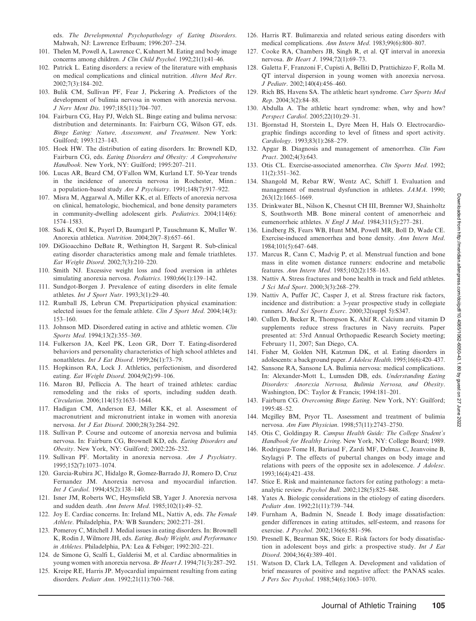- 101. Thelen M, Powell A, Lawrence C, Kuhnert M. Eating and body image concerns among children. J Clin Child Psychol. 1992;21(1):41–46.
- 102. Patrick L. Eating disorders: a review of the literature with emphasis on medical complications and clinical nutrition. Altern Med Rev. 2002;7(3):184–202.
- 103. Bulik CM, Sullivan PF, Fear J, Pickering A. Predictors of the development of bulimia nervosa in women with anorexia nervosa. J Nerv Ment Dis. 1997;185(11):704–707.
- 104. Fairburn CG, Hay PJ, Welch SL. Binge eating and bulima nervosa: distribution and determinants. In: Fairburn CG, Wilson GT, eds. Binge Eating: Nature, Assessment, and Treatment. New York: Guilford; 1993:123–143.
- 105. Hoek HW. The distribution of eating disorders. In: Brownell KD, Fairburn CG, eds. Eating Disorders and Obesity: A Comprehensive Handbook. New York, NY: Guilford; 1995:207-211.
- 106. Lucas AR, Beard CM, O'Fallon WM, Kurland LT. 50-Year trends in the incidence of anorexia nervosa in Rochester, Minn.: a population-based study Am J Psychiatry. 1991;148(7):917–922.
- 107. Misra M, Aggarwal A, Miller KK, et al. Effects of anorexia nervosa on clinical, hematologic, biochemical, and bone density parameters in community-dwelling adolescent girls. Pediatrics. 2004;114(6): 1574–1583.
- 108. Sudi K, Ottl K, Payerl D, Baumgartl P, Tauschmann K, Muller W. Anorexia athletica. Nutrition. 2004;20(7–8):657–661.
- 109. DiGioacchino DeBate R, Wethington H, Sargent R. Sub-clinical eating disorder characteristics among male and female triathletes. Eat Weight Disord. 2002;7(3):210–220.
- 110. Smith NJ. Excessive weight loss and food aversion in athletes simulating anorexia nervosa. Pediatrics. 1980;66(1):139-142.
- 111. Sundgot-Borgen J. Prevalence of eating disorders in elite female athletes. Int J Sport Nutr. 1993;3(1):29–40.
- 112. Rumball JS, Lebrun CM. Preparticipation physical examination: selected issues for the female athlete. Clin J Sport Med. 2004;14(3): 153–160.
- 113. Johnson MD. Disordered eating in active and athletic women. Clin Sports Med. 1994;13(2):355-369.
- 114. Fulkerson JA, Keel PK, Leon GR, Dorr T. Eating-disordered behaviors and personality characteristics of high school athletes and nonathletes. Int J Eat Disord. 1999;26(1):73–79.
- 115. Hopkinson RA, Lock J. Athletics, perfectionism, and disordered eating. Eat Weight Disord. 2004;9(2):99–106.
- 116. Maron BJ, Pelliccia A. The heart of trained athletes: cardiac remodeling and the risks of sports, including sudden death. Circulation. 2006;114(15):1633–1644.
- 117. Hadigan CM, Anderson EJ, Miller KK, et al. Assessment of macronutrient and micronutrient intake in women with anorexia nervosa. Int J Eat Disord. 2000;28(3):284–292.
- 118. Sullivan P. Course and outcome of anorexia nervosa and bulimia nervosa. In: Fairburn CG, Brownell KD, eds. Eating Disorders and Obesity. New York, NY: Guilford; 2002:226–232.
- 119. Sullivan PF. Mortality in anorexia nervosa. Am J Psychiatry. 1995;152(7):1073–1074.
- 120. Garcia-Rubira JC, Hidalgo R, Gomez-Barrado JJ, Romero D, Cruz Fernandez JM. Anorexia nervosa and myocardial infarction. Int J Cardiol. 1994;45(2):138–140.
- 121. Isner JM, Roberts WC, Heymsfield SB, Yager J. Anorexia nervosa and sudden death. Ann Intern Med. 1985;102(1):49–52.
- 122. Joy E. Cardiac concerns. In: Ireland ML, Nattiv A, eds. The Female Athlete. Philadelphia, PA: WB Saunders; 2002:271–281.
- 123. Pomeroy C, Mitchell J. Medial issues in eating disorders. In: Brownell K, Rodin J, Wilmore JH, eds. Eating, Body Weight, and Performance in Athletes. Philadelphia, PA: Lea & Febiger; 1992:202–221.
- 124. de Simone G, Scalfi L, Galderisi M, et al. Cardiac abnormalities in young women with anorexia nervosa. Br Heart J. 1994;71(3):287–292.
- 125. Kreipe RE, Harris JP. Myocardial impairment resulting from eating disorders. Pediatr Ann. 1992;21(11):760–768.
- 126. Harris RT. Bulimarexia and related serious eating disorders with medical complications. Ann Intern Med. 1983;99(6):800–807.
- 127. Cooke RA, Chambers JB, Singh R, et al. QT interval in anorexia nervosa. Br Heart J. 1994;72(1):69–73.
- 128. Galetta F, Franzoni F, Cupisti A, Belliti D, Prattichizzo F, Rolla M. QT interval dispersion in young women with anorexia nervosa. J Pediatr. 2002;140(4):456–460.
- 129. Rich BS, Havens SA. The athletic heart syndrome. Curr Sports Med Rep. 2004;3(2):84–88.
- 130. Abdulla A. The athletic heart syndrome: when, why and how? Perspect Cardiol. 2005;22(10):29–31.
- 131. Bjornstad H, Storstein L, Dyre Meen H, Hals O. Electrocardiographic findings according to level of fitness and sport activity. Cardiology. 1993;83(1):268–279.
- 132. Apgar B. Diagnosis and management of amenorrhea. Clin Fam Pract. 2002;4(3):643.
- 133. Otis CL. Exercise-associated amenorrhea. Clin Sports Med. 1992; 11(2):351–362.
- 134. Shangold M, Rebar RW, Wentz AC, Schiff I. Evaluation and management of menstrual dysfunction in athletes. JAMA. 1990; 263(12):1665–1669.
- 135. Drinkwater BL, Nilson K, Chesnut CH III, Bremner WJ, Shainholtz S, Southworth MB. Bone mineral content of amenorrheic and eumenorrheic athletes. N Engl J Med. 1984;311(5):277-281.
- 136. Lindberg JS, Fears WB, Hunt MM, Powell MR, Boll D, Wade CE. Exercise-induced amenorrhea and bone density. Ann Intern Med. 1984;101(5):647–648.
- 137. Marcus R, Cann C, Madvig P, et al. Menstrual function and bone mass in elite women distance runners: endocrine and metabolic features. Ann Intern Med. 1985;102(2):158–163.
- 138. Nattiv A. Stress fractures and bone health in track and field athletes. J Sci Med Sport. 2000;3(3):268–279.
- 139. Nattiv A, Puffer JC, Casper J, et al. Stress fracture risk factors, incidence and distribution: a 3-year prospective study in collegiate runners. Med Sci Sports Exerc. 2000;32(suppl 5):S347.
- 140. Cullen D, Becker R, Thompson K, Ahif R. Calcium and vitamin D supplements reduce stress fractures in Navy recruits. Paper presented at: 53rd Annual Orthopaedic Research Society meeting; February 11, 2007; San Diego, CA.
- 141. Fisher M, Golden NH, Katzman DK, et al. Eating disorders in adolescents: a background paper. J Adolesc Health. 1995;16(6):420–437.
- 142. Sansone RA, Sansone LA. Bulimia nervosa: medical complications. In: Alexander-Mott L, Lumsden DB, eds. Understanding Eating Disorders: Anorexia Nervosa, Bulimia Nervosa, and Obesity. Washington, DC: Taylor & Francis; 1994:181–201.
- 143. Fairburn CG. Overcoming Binge Eating. New York, NY: Guilford; 1995:48–52.
- 144. Mcgilley BM, Pryor TL. Assessment and treatment of bulimia nervosa. Am Fam Physician. 1998;57(11):2743–2750.
- 145. Otis C, Goldingay R. Campus Health Guide: The College Student's Handbook for Healthy Living. New York, NY: College Board; 1989.
- 146. Rodriguez-Tome H, Bariaud F, Zardi MF, Delmas C, Jeanvoine B, Szylagyi P. The effects of pubertal changes on body image and relations with peers of the opposite sex in adolescence. J Adolesc. 1993;16(4):421–438.
- 147. Stice E. Risk and maintenance factors for eating pathology: a metaanalytic review. Psychol Bull. 2002;128(5):825–848.
- 148. Yates A. Biologic considerations in the etiology of eating disorders. Pediatr Ann. 1992;21(11):739–744.
- 149. Furnham A, Badmin N, Sneade I. Body image dissatisfaction: gender differences in eating attitudes, self-esteem, and reasons for exercise. J Psychol. 2002;136(6):581–596.
- 150. Presnell K, Bearman SK, Stice E. Risk factors for body dissatisfaction in adolescent boys and girls: a prospective study. Int J Eat Disord. 2004;36(4):389–401.
- 151. Watson D, Clark LA, Tellegen A. Development and validation of brief measures of positive and negative affect: the PANAS scales. J Pers Soc Psychol. 1988;54(6):1063–1070.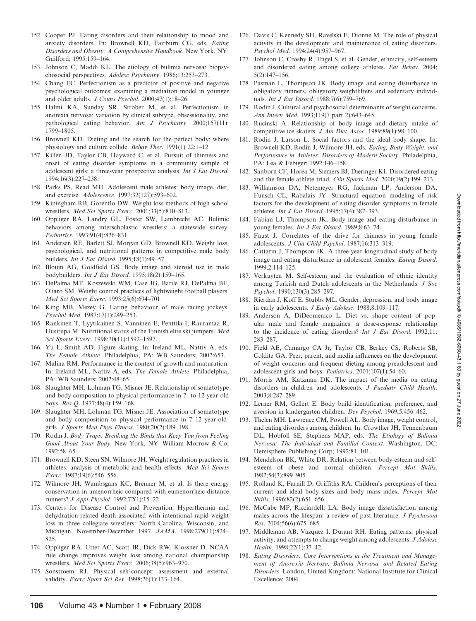- 152. Cooper PJ. Eating disorders and their relationship to mood and anxiety disorders. In: Brownell KD, Fairburn CG, eds. Eating Disorders and Obesity: A Comprehensive Handbook. New York, NY: Guilford; 1995:159–164. 153. Johnson C, Maddi KL. The etiology of bulimia nervosa: biopsychosocial perspectives. Adolesc Psychiatry. 1986;13:253–273.
- 154. Chang EC. Perfectionism as a predictor of positive and negative psychological outcomes: examining a mediation model in younger and older adults. J Couns Psychol. 2000;47(1):18-26.
- 155. Halmi KA, Sunday SR, Strober M, et al. Perfectionism in anorexia nervosa: variation by clinical subtype, obsessionality, and pathological eating behavior. Am J Psychiatry. 2000;157(11): 1799–1805.
- 156. Brownell KD. Dieting and the search for the perfect body: where physiology and culture collide. Behav Ther. 1991(1) 22:1–12.
- 157. Killen JD, Taylor CB, Hayward C, et al. Pursuit of thinness and onset of eating disorder symptoms in a community sample of adolescent girls: a three-year prospective analysis. Int J Eat Disord. 1994;16(3):227–238.
- 158. Parks PS, Read MH. Adolescent male athletes: body image, diet, and exercise. Adolescence. 1997;32(127):593–602.
- 159. Kiningham RB, Gorenflo DW. Weight loss methods of high school wrestlers. Med Sci Sports Exerc. 2001;33(5):810–813.
- 160. Oppliger RA, Landry GL, Foster SW, Lambrecht AC. Bulimic behaviors among interscholastic wrestlers: a statewide survey. Pediatrics. 1993;91(4):826–831.
- 161. Andersen RE, Barlett SJ, Morgan GD, Brownell KD. Weight loss, psychological, and nutritional patterns in competitive male body builders. Int J Eat Disord. 1995;18(1):49–57.
- 162. Blouin AG, Goldfield GS. Body image and steroid use in male bodybuilders. Int J Eat Disord. 1995;18(2):159–165.
- 163. DePalma MT, Koszewski WM, Case JG, Barile RJ, DePalma BF, Oliaro SM. Weight control practices of lightweight football players. Med Sci Sports Exerc. 1993;25(6):694–701.
- 164. King MB, Mezey G. Eating behaviour of male racing jockeys. Psychol Med. 1987;17(1):249–253.
- 165. Rankinen T, Lyytikainen S, Vanninen E, Penttila I, Rauramaa R, Uusitupa M. Nutritional status of the Finnish elite ski jumpers. Med Sci Sports Exerc. 1998;30(11):1592–1597.
- 166. Yu L, Smith AD. Figure skating. In: Ireland ML, Nattiv A, eds. The Female Athlete. Philadelphia, PA: WB Saunders; 2002:653.
- 167. Malina RM. Performance in the context of growth and maturation. In: Ireland ML, Nattiv A, eds. The Female Athlete. Philadelphia, PA: WB Saunders; 2002:48–65.
- 168. Slaughter MH, Lohman TG, Misner JE. Relationship of somatotype and body composition to physical performance in 7- to 12-year-old boys. Res Q. 1977;48(4):159–168.
- 169. Slaughter MH, Lohman TG, Misner JE. Association of somatotype and body composition to physical performance in 7–12 year-oldgirls. J Sports Med Phys Fitness. 1980;20(2):189–198.
- 170. Rodin J. Body Traps: Breaking the Binds that Keep You from Feeling Good About Your Body. New York, NY: William Morrow & Co; 1992:58–65.
- 171. Brownell KD, Steen SN, Wilmore JH. Weight regulation practices in athletes: analysis of metabolic and health effects. Med Sci Sports Exerc. 1987;19(6):546–556.
- 172. Wilmore JH, Wambsgans KC, Brenner M, et al. Is there energy conservation in amenorrheic compared with eumenorrheic distance runners? J Appl Physiol. 1992;72(1):15–22.
- 173. Centers for Disease Control and Prevention. Hyperthermia and dehydration-related death associated with intentional rapid weight loss in three collegiate wrestlers: North Carolina, Wisconsin, and Michigan, November-December 1997. JAMA. 1998;279(11):824– 825.
- 174. Oppliger RA, Utter AC, Scott JR, Dick RW, Klossner D. NCAA rule change improves weight loss among national championship wrestlers. Med Sci Sports Exerc. 2006;38(5):963–970.
- 175. Sonstroem RJ. Physical self-concept: assessment and external validity. Exerc Sport Sci Rev. 1998;26(1):133–164.
- 176. Davis C, Kennedy SH, Ravelski E, Dionne M. The role of physical activity in the development and maintenance of eating disorders. Psychol Med. 1994;24(4):957–967.
- 177. Johnson C, Crosby R, Engel S, et al. Gender, ethnicity, self-esteem and disordered eating among college athletes. Eat Behav. 2004; 5(2):147–156.
- 178. Pasman L, Thompson JK. Body image and eating disturbance in obligatory runners, obligatory weightlifters and sedentary individuals. Int J Eat Disord. 1988;7(6):759-769.
- 179. Rodin J. Cultural and psychosocial determinants of weight concerns. Ann Intern Med. 1993;119(7 part 2):643–645.
- 180. Rucinski A. Relationship of body image and dietary intake of competitive ice skaters. J Am Diet Assoc. 1989;89(1):98–100.
- 181. Rodin J, Larson L. Social factors and the ideal body shape. In: Brownell KD, Rodin J, Wilmore JH, eds. Eating, Body Weight, and Performance in Athletes: Disorders of Modern Society. Philadelphia, PA: Lea & Febiger; 1992:146–158.
- 182. Sanborn CF, Horea M, Siemers BJ, Dieringer KI. Disordered eating and the female athlete triad. Clin Sports Med. 2000;19(2):199–213.
- 183. Williamson DA, Netemeyer RG, Jackman LP, Anderson DA, Funsch CL, Rabalais JY. Structural equation modeling of risk factors for the development of eating disorder symptoms in female athletes. Int J Eat Disord. 1995;17(4):387–393.
- 184. Fabian LJ, Thompson JK. Body image and eating disturbance in young females. Int J Eat Disord. 1989;8:63–74.
- 185. Faust J. Correlates of the drive for thinness in young female adolescents. J Clin Child Psychol. 1987;16:313–319.
- 186. Cattarin J, Thompson JK. A three year longitudinal study of body image and eating disturbance in adolescent females. Eating Disord. 1999;2:114–125.
- 187. Verkuyten M. Self-esteem and the evaluation of ethnic identity among Turkish and Dutch adolescents in the Netherlands. J Soc Psychol. 1990;130(3):285–297.
- 188. Rierdan J, Koff E, Stubbs ML. Gender, depression, and body image in early adolescents. J Early Adolesc. 1988;8:109–117.
- 189. Anderson A, DiDeomenico L. Diet vs. shape content of popular male and female magazines: a dose-response relationship to the incidence of eating disorders? Int J Eat Disord. 1992;11: 283–287.
- 190. Field AE, Camargo CA Jr, Taylor CB, Berkey CS, Roberts SB, Colditz GA. Peer, parent, and media influences on the development of weight concerns and frequent dieting among preadolescent and adolescent girls and boys. Pediatrics. 2001;107(1):54–60.
- 191. Morris AM, Katzman DK. The impact of the media on eating disorders in children and adolescents. J Paediatr Child Health. 2003;8:287–289.
- 192. Lerner RM, Gellert E. Body build identification, preference, and aversion in kindergarten children. Dev Psychol. 1969;5:456–462.
- 193. Thelen MH, Lawrence CM, Powell AL. Body image, weight control, and eating disorders among children. In: Crowther JH, Tennenbaum DL, Hobfoll SE, Stephens MAP, eds. The Etiology of Bulimia Nervosa: The Individual and Familial Context. Washington, DC: Hemisphere Publishing Corp; 1992:81–101.
- 194. Mendelson BK, White DR. Relation between body-esteem and selfesteem of obese and normal children. Percept Mot Skills. 1982;54(3):899–905.
- 195. Rolland K, Farnill D, Griffiths RA. Children's perceptions of their current and ideal body sizes and body mass index. Percept Mot Skills. 1996;82(2):651–656.
- 196. McCabe MP, Ricciardelli LA. Body image dissatisfaction among males across the lifespan: a review of past literature. J Psychosom Res. 2004;56(6):675–685.
- 197. Middleman AB, Vazquez I, Durant RH. Eating patterns, physical activity, and attempts to change weight among adolescents. J Adolesc Health. 1998;22(1):37–42.
- 198. Eating Disorders: Core Interventions in the Treatment and Management of Anorexia Nervosa, Bulimia Nervosa, and Related Eating Disorders. London, United Kingdom: National Institute for Clinical Excellence; 2004.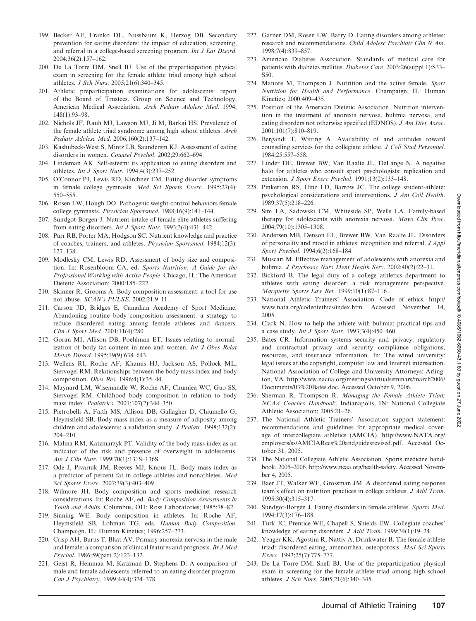- 199. Becker AE, Franko DL, Nussbaum K, Herzog DB. Secondary prevention for eating disorders: the impact of education, screening, and referral in a college-based screening program. Int J Eat Disord. 2004;36(2):157–162.
- 200. De La Torre DM, Snell BJ. Use of the preparticipation physical exam in screening for the female athlete triad among high school athletes. J Sch Nurs. 2005;21(6):340–345.
- 201. Athletic preparticipation examinations for adolescents: report of the Board of Trustees. Group on Science and Technology, American Medical Association. Arch Pediatr Adolesc Med. 1994; 148(1):93–98.
- 202. Nichols JF, Rauh MJ, Lawson MJ, Ji M, Barkai HS. Prevalence of the female athlete triad syndrome among high school athletes. Arch Pediatr Adolesc Med. 2006;160(2):137–142.
- 203. Kashubeck-West S, Mintz LB, Saundersm KJ. Assessment of eating disorders in women. Counsel Psychol. 2002;29:662–694.
- 204. Lindeman AK. Self-esteem: its application to eating disorders and athletes. Int J Sport Nutr. 1994;4(3):237–252.
- 205. O'Connor PJ, Lewis RD, Kirchner EM. Eating disorder symptoms in female college gymnasts. Med Sci Sports Exerc. 1995;27(4): 550–555.
- 206. Rosen LW, Hough DO. Pathogenic weight-control behaviors female college gymnasts. Physician Sportsmed. 1988;16(9):141–144.
- 207. Sundgot-Borgen J. Nutrient intake of female elite athletes suffering from eating disorders. Int J Sport Nutr. 1993;3(4):431–442.
- 208. Parr RB, Porter MA, Hodgson SC. Nutrient knowledge and practice of coaches, trainers, and athletes. Physician Sportsmed. 1984;12(3): 127–138.
- 209. Modlesky CM, Lewis RD. Assessment of body size and composition. In: Rosenbloom CA, ed. Sports Nutrition: A Guide for the Professional Working with Active People. Chicago, IL: The American Dietetic Association; 2000:185–222.
- 210. Skinner R, Grooms A. Body composition assessment: a tool for use not abuse. SCAN's PULSE. 2002;21:9–11.
- 211. Carson JD, Bridges E, Canadian Academy of Sport Medicine. Abandoning routine body composition assessment: a strategy to reduce disordered eating among female athletes and dancers. Clin J Sport Med. 2001;11(4):280.
- 212. Goran MI, Allison DB, Poehlman ET. Issues relating to normalization of body fat content in men and women. Int J Obes Relat Metab Disord. 1995;19(9):638–643.
- 213. Wellens RI, Roche AF, Khamis HJ, Jackson AS, Pollock ML, Siervogel RM. Relationships between the body mass index and body composition. Obes Res. 1996;4(1):35–44.
- 214. Maynard LM, Wisemandle W, Roche AF, Chumlea WC, Guo SS, Siervogel RM. Childhood body composition in relation to body mass index. Pediatrics. 2001;107(2):344–350.
- 215. Pietrobelli A, Faith MS, Allison DB, Gallagher D, Chiumello G, Heymsfield SB. Body mass index as a measure of adiposity among children and adolescents: a validation study. J Pediatr. 1998;132(2): 204–210.
- 216. Malina RM, Katzmarzyk PT. Validity of the body mass index as an indicator of the risk and presence of overweight in adolescents. Am J Clin Nutr. 1999;70(1):131S–136S.
- 217. Ode J, Pivarnik JM, Reeves MJ, Knous JL. Body mass index as a predictor of percent fat in college athletes and nonathletes. Med Sci Sports Exerc. 2007;39(3):403–409.
- 218. Wilmore JH. Body composition and sports medicine: research considerations. In: Roche AF, ed. Body Composition Assessments in Youth and Adults. Columbus, OH: Ross Laboratories; 1985:78–82.
- 219. Sinning WE. Body composition in athletes. In: Roche AF, Heymsfield SB, Lohman TG, eds. Human Body Composition. Champaign, IL: Human Kinetics; 1996:257–273.
- 220. Crisp AH, Burns T, Bhat AV. Primary anorexia nervosa in the male and female: a comparison of clinical features and prognosis. Br J Med Psychol. 1986;59(part 2):123–132.
- 221. Geist R, Heinmaa M, Katzman D, Stephens D. A comparison of male and female adolescents referred to an eating disorder program. Can J Psychiatry. 1999;44(4):374–378.
- 222. Garner DM, Rosen LW, Barry D. Eating disorders among athletes: research and recommendations. Child Adolesc Psychiatr Clin N Am. 1998;7(4):839–857.
- 223. American Diabetes Association. Standards of medical care for patients with diabetes mellitus. Diabetes Care. 2003;26(suppl 1):S33– S50.
- 224. Manore M, Thompson J. Nutrition and the active female. Sport Nutrition for Health and Performance. Champaign, IL: Human Kinetics; 2000:409–435.
- 225. Position of the American Dietetic Association. Nutrition intervention in the treatment of anorexia nervosa, bulimia nervosa, and eating disorders not otherwise specified (EDNOS). J Am Diet Assoc. 2001;101(7):810–819.
- 226. Bergandi T, Witting A. Availability of and attitudes toward counseling services for the collegiate athlete. J Coll Stud Personnel. 1984;25:557–558.
- 227. Linder DE, Brewer BW, Van Raalte JL, DeLange N. A negative halo for athletes who consult sport psychologists: replication and extension. J Sport Exerc Psychol. 1991;13(2):133-148.
- 228. Pinkerton RS, Hinz LD, Barrow JC. The college student-athlete: psychological considerations and interventions. J Am Coll Health. 1989;37(5):218–226.
- 229. Sim LA, Sadowski CM, Whiteside SP, Wells LA. Family-based therapy for adolescents with anorexia nervosa. Mayo Clin Proc. 2004;79(10):1305–1308.
- 230. Andersen MB, Denson EL, Brewer BW, Van Raalte JL. Disorders of personality and mood in athletes: recognition and referral. J Appl Sport Psychol. 1994;6(2):168–184.
- 231. Muscari M. Effective management of adolescents with anorexia and bulimia. J Psychosoc Nurs Ment Health Serv. 2002;40(2):22–31.
- 232. Bickford B. The legal duty of a college athletics department to athletes with eating disorder: a risk management perspective. Marquette Sports Law Rev. 1999;10(1):87–116.
- 233. National Athletic Trainers' Association. Code of ethics. http:// www.nata.org/codeofethics/index.htm. Accessed November 14, 2005.
- 234. Clark N. How to help the athlete with bulimia: practical tips and a case study. Int J Sport Nutr. 1993;3(4):450–460.
- 235. Bates CR. Information systems security and privacy: regulatory and contractual privacy and security compliance obligations, resources, and insurance information. In: The wired university: legal issues at the copyright, computer law and Internet intersection. National Association of College and University Attorneys: Arlington, VA. http://www.nacua.org/meetings/virtualseminars/march2006/ Documents/03%20Bates.doc. Accessed October 9, 2006.
- 236. Sherman R, Thompson R. Managing the Female Athlete Triad: NCAA Coaches Handbook. Indianapolis, IN: National Collegiate Athletic Association; 2005:21–26.
- 237. The National Athletic Trainers' Association support statement: recommendations and guidelines for appropriate medical coverage of intercollegiate athletics (AMCIA). http://www.NATA.org/ employers/ss/AMCIARecs%20andguidesrevised.pdf. Accessed October 31, 2005.
- 238. The National Collegiate Athletic Association. Sports medicine handbook, 2005–2006. http://www.ncaa.org/health-safety. Accessed November 4, 2005.
- 239. Baer JT, Walker WF, Grossman JM. A disordered eating response team's effect on nutrition practices in college athletes. J Athl Train. 1995;30(4):315–317.
- 240. Sundgot-Borgen J. Eating disorders in female athletes. Sports Med. 1994;17(3):176–188.
- 241. Turk JC, Prentice WE, Chapell S, Shields EW. Collegiate coaches' knowledge of eating disorders. J Athl Train. 1999;34(1):19–24.
- 242. Yeager KK, Agostini R, Nattiv A, Drinkwater B. The female athlete triad: disordered eating, amenorrhea, osteoporosis. Med Sci Sports Exerc. 1993;25(7):775–777.
- 243. De La Torre DM, Snell BJ. Use of the preparticipation physical exam in screening for the female athlete triad among high school athletes. J Sch Nurs. 2005;21(6):340–345.